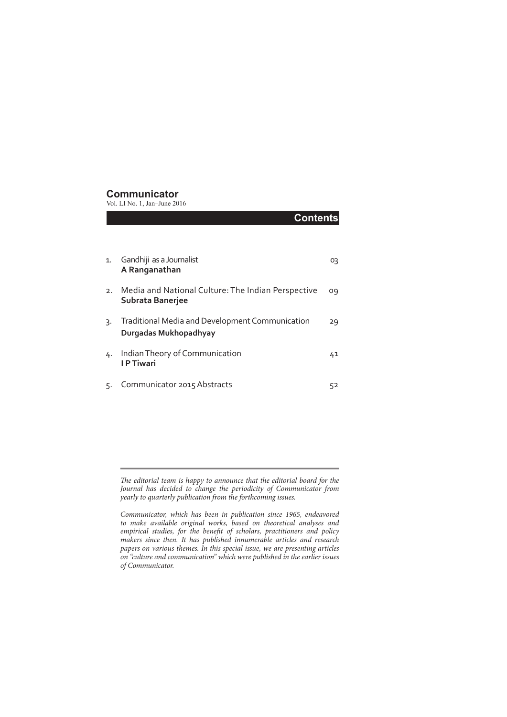#### **Communicator**

Vol. LI No. 1, Jan–June 2016

|    | <b>Contents</b>                                                                 |    |
|----|---------------------------------------------------------------------------------|----|
|    |                                                                                 |    |
| 1. | Gandhiji as a Journalist<br>A Ranganathan                                       | Ο3 |
| 2. | Media and National Culture: The Indian Perspective<br>Subrata Banerjee          | 09 |
| 3. | <b>Traditional Media and Development Communication</b><br>Durgadas Mukhopadhyay | 29 |
| 4. | Indian Theory of Communication<br><b>IPTiwari</b>                               | 41 |
| 5. | Communicator 2015 Abstracts                                                     | 52 |

*The editorial team is happy to announce that the editorial board for the Journal has decided to change the periodicity of Communicator from yearly to quarterly publication from the forthcoming issues.*

*Communicator, which has been in publication since 1965, endeavored to make available original works, based on theoretical analyses and empirical studies, for the benefit of scholars, practitioners and policy makers since then. It has published innumerable articles and research papers on various themes. In this special issue, we are presenting articles on "culture and communication" which were published in the earlier issues of Communicator.*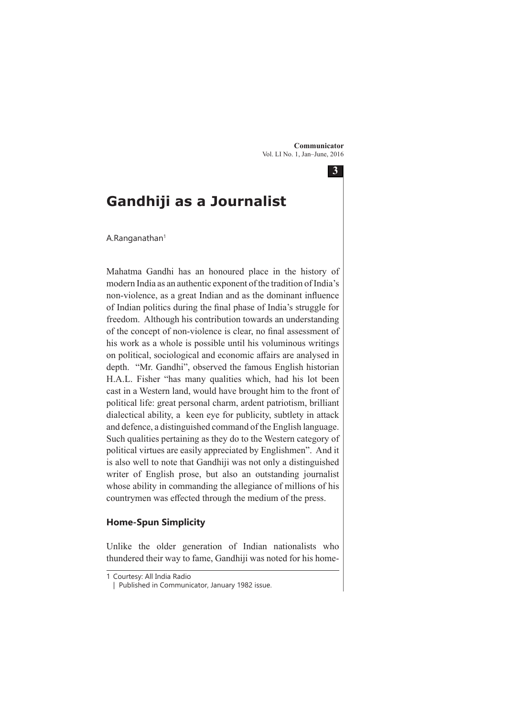**3**

# **Gandhiji as a Journalist**

A.Ranganathan<sup>1</sup>

Mahatma Gandhi has an honoured place in the history of modern India as an authentic exponent of the tradition of India's non-violence, as a great Indian and as the dominant influence of Indian politics during the final phase of India's struggle for freedom. Although his contribution towards an understanding of the concept of non-violence is clear, no final assessment of his work as a whole is possible until his voluminous writings on political, sociological and economic affairs are analysed in depth. "Mr. Gandhi", observed the famous English historian H.A.L. Fisher "has many qualities which, had his lot been cast in a Western land, would have brought him to the front of political life: great personal charm, ardent patriotism, brilliant dialectical ability, a keen eye for publicity, subtlety in attack and defence, a distinguished command of the English language. Such qualities pertaining as they do to the Western category of political virtues are easily appreciated by Englishmen". And it is also well to note that Gandhiji was not only a distinguished writer of English prose, but also an outstanding journalist whose ability in commanding the allegiance of millions of his countrymen was effected through the medium of the press.

#### **Home-Spun Simplicity**

Unlike the older generation of Indian nationalists who thundered their way to fame, Gandhiji was noted for his home-

<sup>1</sup> Courtesy: All India Radio

<sup>|</sup> Published in Communicator, January 1982 issue.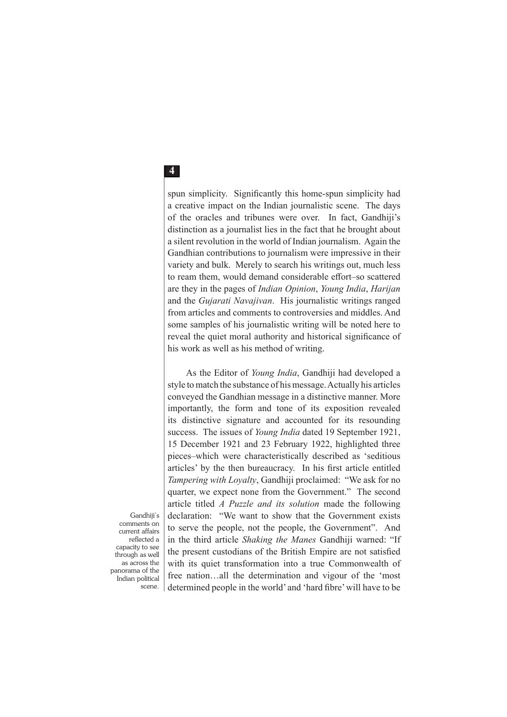spun simplicity. Significantly this home-spun simplicity had a creative impact on the Indian journalistic scene. The days of the oracles and tribunes were over. In fact, Gandhiji's distinction as a journalist lies in the fact that he brought about a silent revolution in the world of Indian journalism. Again the Gandhian contributions to journalism were impressive in their variety and bulk. Merely to search his writings out, much less to ream them, would demand considerable effort–so scattered are they in the pages of *Indian Opinion*, *Young India*, *Harijan* and the *Gujarati Navajivan*. His journalistic writings ranged from articles and comments to controversies and middles. And some samples of his journalistic writing will be noted here to reveal the quiet moral authority and historical significance of his work as well as his method of writing.

As the Editor of *Young India*, Gandhiji had developed a style to match the substance of his message. Actually his articles conveyed the Gandhian message in a distinctive manner. More importantly, the form and tone of its exposition revealed its distinctive signature and accounted for its resounding success. The issues of *Young India* dated 19 September 1921, 15 December 1921 and 23 February 1922, highlighted three pieces–which were characteristically described as 'seditious articles' by the then bureaucracy. In his first article entitled *Tampering with Loyalty*, Gandhiji proclaimed: "We ask for no quarter, we expect none from the Government." The second article titled *A Puzzle and its solution* made the following declaration: "We want to show that the Government exists to serve the people, not the people, the Government". And in the third article *Shaking the Manes* Gandhiji warned: "If the present custodians of the British Empire are not satisfied with its quiet transformation into a true Commonwealth of free nation…all the determination and vigour of the 'most determined people in the world' and 'hard fibre' will have to be

Gandhiji's comments on current affairs reflected a capacity to see through as well as across the panorama of the Indian political scene.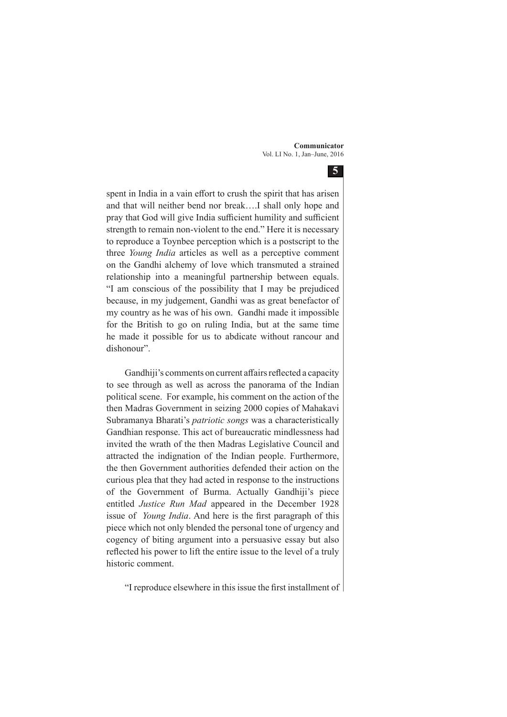**5**

spent in India in a vain effort to crush the spirit that has arisen and that will neither bend nor break….I shall only hope and pray that God will give India sufficient humility and sufficient strength to remain non-violent to the end." Here it is necessary to reproduce a Toynbee perception which is a postscript to the three *Young India* articles as well as a perceptive comment on the Gandhi alchemy of love which transmuted a strained relationship into a meaningful partnership between equals. "I am conscious of the possibility that I may be prejudiced because, in my judgement, Gandhi was as great benefactor of my country as he was of his own. Gandhi made it impossible for the British to go on ruling India, but at the same time he made it possible for us to abdicate without rancour and dishonour".

Gandhiji's comments on current affairs reflected a capacity to see through as well as across the panorama of the Indian political scene. For example, his comment on the action of the then Madras Government in seizing 2000 copies of Mahakavi Subramanya Bharati's *patriotic songs* was a characteristically Gandhian response. This act of bureaucratic mindlessness had invited the wrath of the then Madras Legislative Council and attracted the indignation of the Indian people. Furthermore, the then Government authorities defended their action on the curious plea that they had acted in response to the instructions of the Government of Burma. Actually Gandhiji's piece entitled *Justice Run Mad* appeared in the December 1928 issue of *Young India*. And here is the first paragraph of this piece which not only blended the personal tone of urgency and cogency of biting argument into a persuasive essay but also reflected his power to lift the entire issue to the level of a truly historic comment.

"I reproduce elsewhere in this issue the first installment of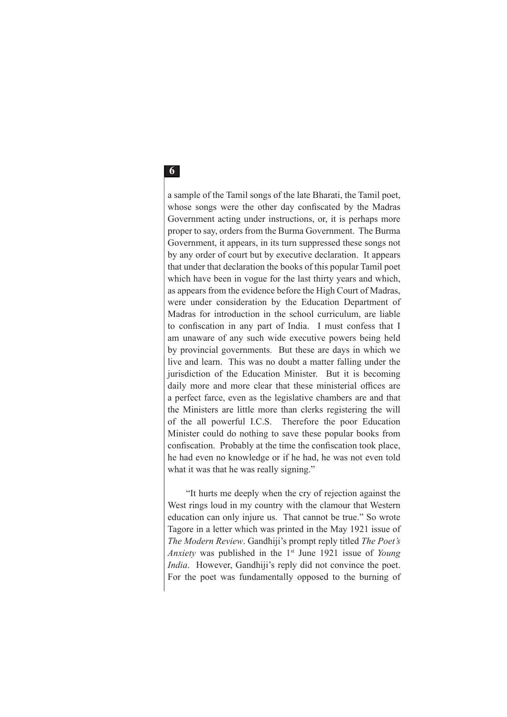a sample of the Tamil songs of the late Bharati, the Tamil poet, whose songs were the other day confiscated by the Madras Government acting under instructions, or, it is perhaps more proper to say, orders from the Burma Government. The Burma Government, it appears, in its turn suppressed these songs not by any order of court but by executive declaration. It appears that under that declaration the books of this popular Tamil poet which have been in vogue for the last thirty years and which, as appears from the evidence before the High Court of Madras, were under consideration by the Education Department of Madras for introduction in the school curriculum, are liable to confiscation in any part of India. I must confess that I am unaware of any such wide executive powers being held by provincial governments. But these are days in which we live and learn. This was no doubt a matter falling under the jurisdiction of the Education Minister. But it is becoming daily more and more clear that these ministerial offices are a perfect farce, even as the legislative chambers are and that the Ministers are little more than clerks registering the will of the all powerful I.C.S. Therefore the poor Education Minister could do nothing to save these popular books from confiscation. Probably at the time the confiscation took place, he had even no knowledge or if he had, he was not even told what it was that he was really signing."

"It hurts me deeply when the cry of rejection against the West rings loud in my country with the clamour that Western education can only injure us. That cannot be true." So wrote Tagore in a letter which was printed in the May 1921 issue of *The Modern Review*. Gandhiji's prompt reply titled *The Poet's Anxiety* was published in the 1<sup>st</sup> June 1921 issue of *Young India*. However, Gandhiji's reply did not convince the poet. For the poet was fundamentally opposed to the burning of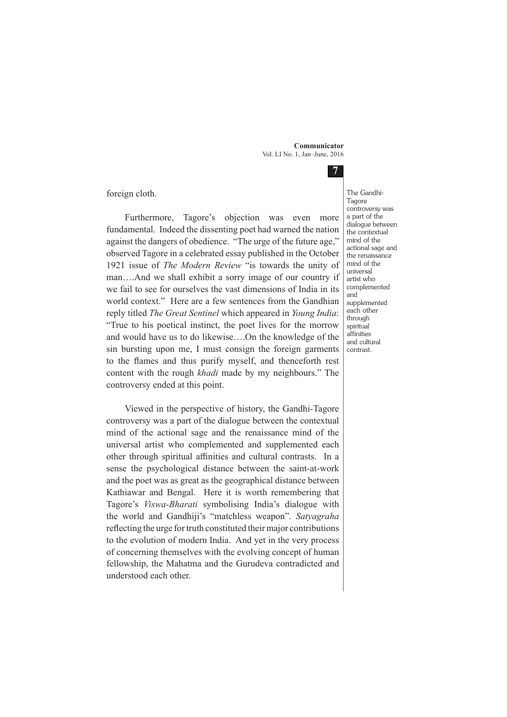**7**

foreign cloth.

Furthermore, Tagore's objection was even more fundamental. Indeed the dissenting poet had warned the nation against the dangers of obedience. "The urge of the future age," observed Tagore in a celebrated essay published in the October 1921 issue of *The Modern Review* "is towards the unity of man….And we shall exhibit a sorry image of our country if we fail to see for ourselves the vast dimensions of India in its world context." Here are a few sentences from the Gandhian reply titled *The Great Sentinel* which appeared in *Young India*: "True to his poetical instinct, the poet lives for the morrow and would have us to do likewise….On the knowledge of the sin bursting upon me, I must consign the foreign garments to the flames and thus purify myself, and thenceforth rest content with the rough *khadi* made by my neighbours." The controversy ended at this point.

Viewed in the perspective of history, the Gandhi-Tagore controversy was a part of the dialogue between the contextual mind of the actional sage and the renaissance mind of the universal artist who complemented and supplemented each other through spiritual affinities and cultural contrasts. In a sense the psychological distance between the saint-at-work and the poet was as great as the geographical distance between Kathiawar and Bengal. Here it is worth remembering that Tagore's *Viswa-Bharati* symbolising India's dialogue with the world and Gandhiji's "matchless weapon". *Satyagraha* reflecting the urge for truth constituted their major contributions to the evolution of modern India. And yet in the very process of concerning themselves with the evolving concept of human fellowship, the Mahatma and the Gurudeva contradicted and understood each other.

The Gandhi-Tagore controversy was a part of the dialogue between the contextual mind of the actional sage and the renaissance mind of the universal artist who complemented and supplemented each other through spiritual affinities and cultural contrast.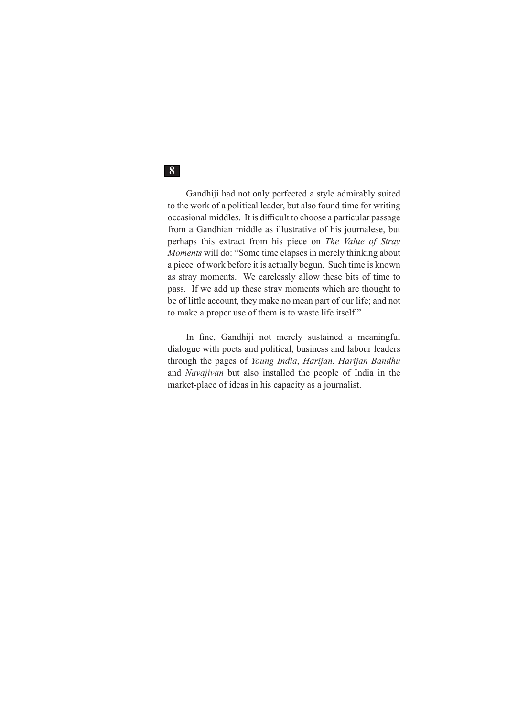Gandhiji had not only perfected a style admirably suited to the work of a political leader, but also found time for writing occasional middles. It is difficult to choose a particular passage from a Gandhian middle as illustrative of his journalese, but perhaps this extract from his piece on *The Value of Stray Moments* will do: "Some time elapses in merely thinking about a piece of work before it is actually begun. Such time is known as stray moments. We carelessly allow these bits of time to pass. If we add up these stray moments which are thought to be of little account, they make no mean part of our life; and not to make a proper use of them is to waste life itself."

In fine, Gandhiji not merely sustained a meaningful dialogue with poets and political, business and labour leaders through the pages of *Young India*, *Harijan*, *Harijan Bandhu*  and *Navajivan* but also installed the people of India in the market-place of ideas in his capacity as a journalist.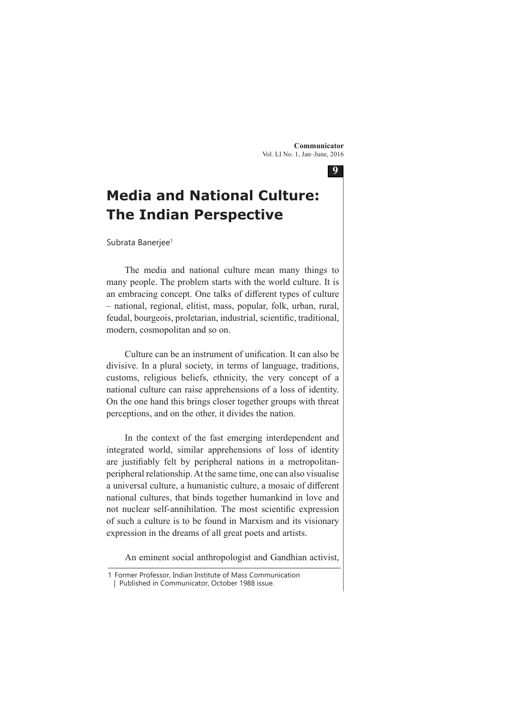**9**

# **Media and National Culture: The Indian Perspective**

Subrata Banerjee<sup>1</sup>

The media and national culture mean many things to many people. The problem starts with the world culture. It is an embracing concept. One talks of different types of culture – national, regional, elitist, mass, popular, folk, urban, rural, feudal, bourgeois, proletarian, industrial, scientific, traditional, modern, cosmopolitan and so on.

Culture can be an instrument of unification. It can also be divisive. In a plural society, in terms of language, traditions, customs, religious beliefs, ethnicity, the very concept of a national culture can raise apprehensions of a loss of identity. On the one hand this brings closer together groups with threat perceptions, and on the other, it divides the nation.

In the context of the fast emerging interdependent and integrated world, similar apprehensions of loss of identity are justifiably felt by peripheral nations in a metropolitanperipheral relationship. At the same time, one can also visualise a universal culture, a humanistic culture, a mosaic of different national cultures, that binds together humankind in love and not nuclear self-annihilation. The most scientific expression of such a culture is to be found in Marxism and its visionary expression in the dreams of all great poets and artists.

An eminent social anthropologist and Gandhian activist,

<sup>1</sup> Former Professor, Indian Institute of Mass Communication

 <sup>|</sup> Published in Communicator, October 1988 issue.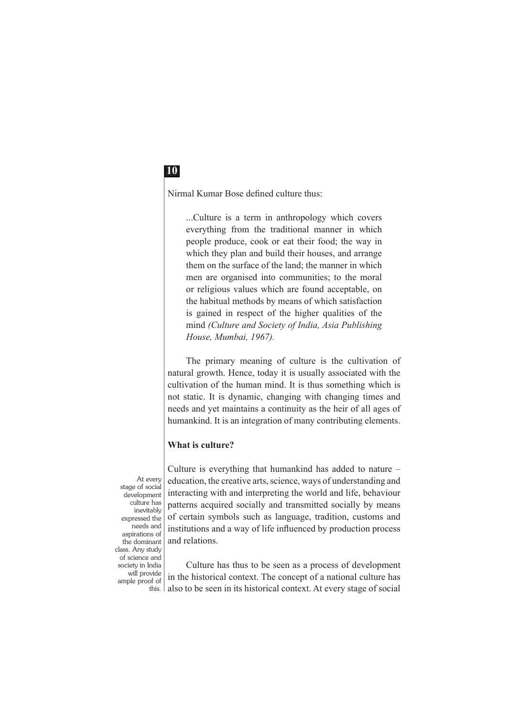Nirmal Kumar Bose defined culture thus:

...Culture is a term in anthropology which covers everything from the traditional manner in which people produce, cook or eat their food; the way in which they plan and build their houses, and arrange them on the surface of the land; the manner in which men are organised into communities; to the moral or religious values which are found acceptable, on the habitual methods by means of which satisfaction is gained in respect of the higher qualities of the mind *(Culture and Society of India, Asia Publishing House, Mumbai, 1967).*

The primary meaning of culture is the cultivation of natural growth. Hence, today it is usually associated with the cultivation of the human mind. It is thus something which is not static. It is dynamic, changing with changing times and needs and yet maintains a continuity as the heir of all ages of humankind. It is an integration of many contributing elements.

#### **What is culture?**

At every stage of social development culture has inevitably expressed the needs and aspirations of the dominant class. Any study of science and society in India will provide ample proof of this.

Culture is everything that humankind has added to nature – education, the creative arts, science, ways of understanding and interacting with and interpreting the world and life, behaviour patterns acquired socially and transmitted socially by means of certain symbols such as language, tradition, customs and institutions and a way of life influenced by production process and relations.

Culture has thus to be seen as a process of development in the historical context. The concept of a national culture has also to be seen in its historical context. At every stage of social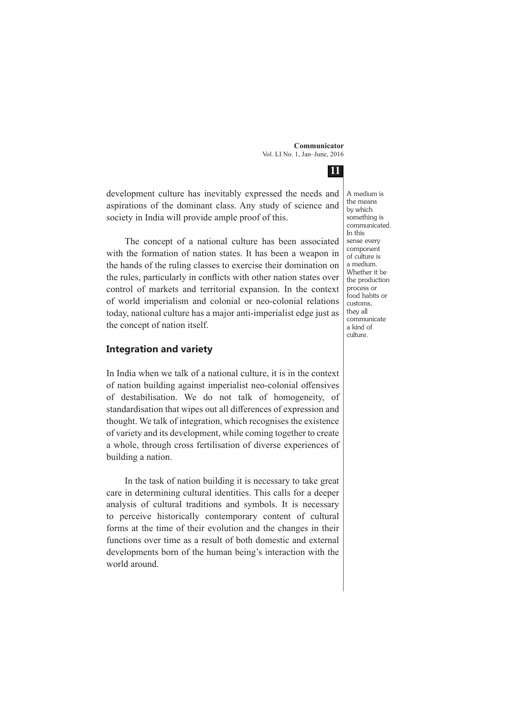**11**

development culture has inevitably expressed the needs and aspirations of the dominant class. Any study of science and society in India will provide ample proof of this.

The concept of a national culture has been associated with the formation of nation states. It has been a weapon in the hands of the ruling classes to exercise their domination on the rules, particularly in conflicts with other nation states over control of markets and territorial expansion. In the context of world imperialism and colonial or neo-colonial relations today, national culture has a major anti-imperialist edge just as the concept of nation itself.

#### **Integration and variety**

In India when we talk of a national culture, it is in the context of nation building against imperialist neo-colonial offensives of destabilisation. We do not talk of homogeneity, of standardisation that wipes out all differences of expression and thought. We talk of integration, which recognises the existence of variety and its development, while coming together to create a whole, through cross fertilisation of diverse experiences of building a nation.

In the task of nation building it is necessary to take great care in determining cultural identities. This calls for a deeper analysis of cultural traditions and symbols. It is necessary to perceive historically contemporary content of cultural forms at the time of their evolution and the changes in their functions over time as a result of both domestic and external developments born of the human being's interaction with the world around.

A medium is the means by which something is communicated. In this sense every component of culture is a medium. Whether it be the production process or food habits or customs, they all communicate a kind of culture.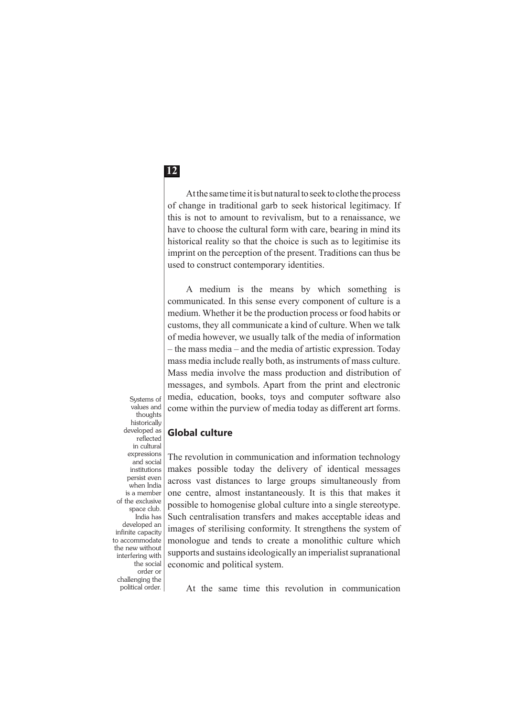At the same time it is but natural to seek to clothe the process of change in traditional garb to seek historical legitimacy. If this is not to amount to revivalism, but to a renaissance, we have to choose the cultural form with care, bearing in mind its historical reality so that the choice is such as to legitimise its imprint on the perception of the present. Traditions can thus be used to construct contemporary identities.

A medium is the means by which something is communicated. In this sense every component of culture is a medium. Whether it be the production process or food habits or customs, they all communicate a kind of culture. When we talk of media however, we usually talk of the media of information – the mass media – and the media of artistic expression. Today mass media include really both, as instruments of mass culture. Mass media involve the mass production and distribution of messages, and symbols. Apart from the print and electronic media, education, books, toys and computer software also come within the purview of media today as different art forms.

#### **Global culture**

The revolution in communication and information technology makes possible today the delivery of identical messages across vast distances to large groups simultaneously from one centre, almost instantaneously. It is this that makes it possible to homogenise global culture into a single stereotype. Such centralisation transfers and makes acceptable ideas and images of sterilising conformity. It strengthens the system of monologue and tends to create a monolithic culture which supports and sustains ideologically an imperialist supranational economic and political system.

Systems of values and thoughts historically developed as reflected in cultural expressions and social institutions persist even when India is a member of the exclusive space club. India has developed an infinite capacity to accommodate the new without interfering with the social order or challenging the

political order.

At the same time this revolution in communication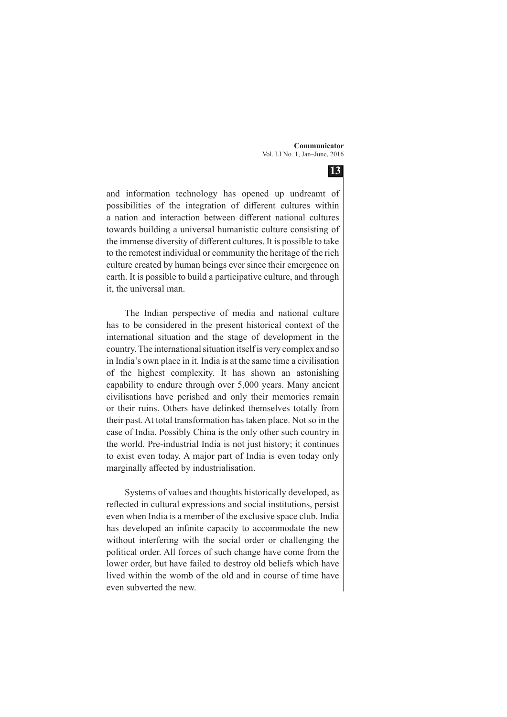**13**

and information technology has opened up undreamt of possibilities of the integration of different cultures within a nation and interaction between different national cultures towards building a universal humanistic culture consisting of the immense diversity of different cultures. It is possible to take to the remotest individual or community the heritage of the rich culture created by human beings ever since their emergence on earth. It is possible to build a participative culture, and through it, the universal man.

The Indian perspective of media and national culture has to be considered in the present historical context of the international situation and the stage of development in the country. The international situation itself is very complex and so in India's own place in it. India is at the same time a civilisation of the highest complexity. It has shown an astonishing capability to endure through over 5,000 years. Many ancient civilisations have perished and only their memories remain or their ruins. Others have delinked themselves totally from their past. At total transformation has taken place. Not so in the case of India. Possibly China is the only other such country in the world. Pre-industrial India is not just history; it continues to exist even today. A major part of India is even today only marginally affected by industrialisation.

Systems of values and thoughts historically developed, as reflected in cultural expressions and social institutions, persist even when India is a member of the exclusive space club. India has developed an infinite capacity to accommodate the new without interfering with the social order or challenging the political order. All forces of such change have come from the lower order, but have failed to destroy old beliefs which have lived within the womb of the old and in course of time have even subverted the new.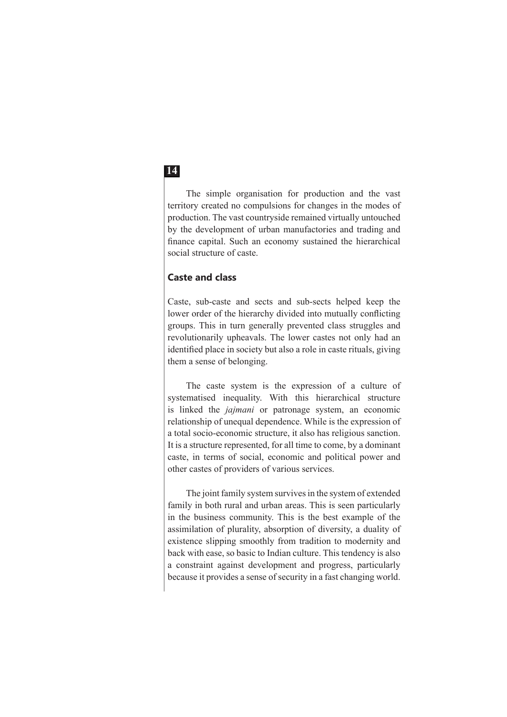The simple organisation for production and the vast territory created no compulsions for changes in the modes of production. The vast countryside remained virtually untouched by the development of urban manufactories and trading and finance capital. Such an economy sustained the hierarchical social structure of caste.

#### **Caste and class**

Caste, sub-caste and sects and sub-sects helped keep the lower order of the hierarchy divided into mutually conflicting groups. This in turn generally prevented class struggles and revolutionarily upheavals. The lower castes not only had an identified place in society but also a role in caste rituals, giving them a sense of belonging.

The caste system is the expression of a culture of systematised inequality. With this hierarchical structure is linked the *jajmani* or patronage system, an economic relationship of unequal dependence. While is the expression of a total socio-economic structure, it also has religious sanction. It is a structure represented, for all time to come, by a dominant caste, in terms of social, economic and political power and other castes of providers of various services.

The joint family system survives in the system of extended family in both rural and urban areas. This is seen particularly in the business community. This is the best example of the assimilation of plurality, absorption of diversity, a duality of existence slipping smoothly from tradition to modernity and back with ease, so basic to Indian culture. This tendency is also a constraint against development and progress, particularly because it provides a sense of security in a fast changing world.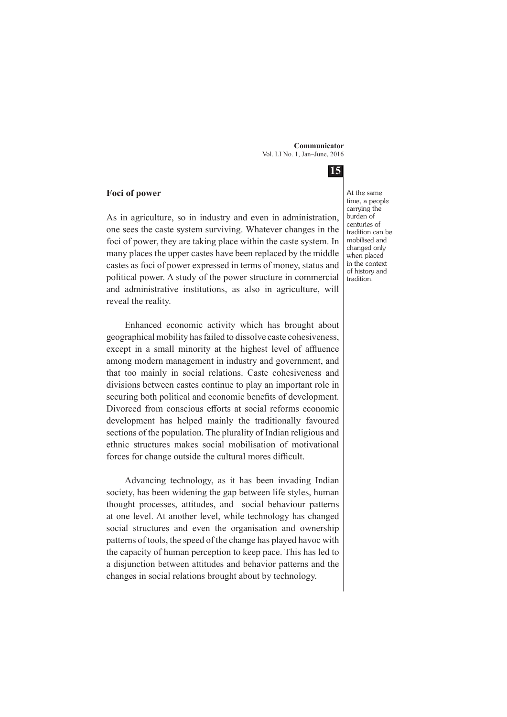**15**

#### **Foci of power**

As in agriculture, so in industry and even in administration, one sees the caste system surviving. Whatever changes in the foci of power, they are taking place within the caste system. In many places the upper castes have been replaced by the middle castes as foci of power expressed in terms of money, status and political power. A study of the power structure in commercial and administrative institutions, as also in agriculture, will reveal the reality.

Enhanced economic activity which has brought about geographical mobility has failed to dissolve caste cohesiveness, except in a small minority at the highest level of affluence among modern management in industry and government, and that too mainly in social relations. Caste cohesiveness and divisions between castes continue to play an important role in securing both political and economic benefits of development. Divorced from conscious efforts at social reforms economic development has helped mainly the traditionally favoured sections of the population. The plurality of Indian religious and ethnic structures makes social mobilisation of motivational forces for change outside the cultural mores difficult.

Advancing technology, as it has been invading Indian society, has been widening the gap between life styles, human thought processes, attitudes, and social behaviour patterns at one level. At another level, while technology has changed social structures and even the organisation and ownership patterns of tools, the speed of the change has played havoc with the capacity of human perception to keep pace. This has led to a disjunction between attitudes and behavior patterns and the changes in social relations brought about by technology.

At the same time, a people carrying the burden of centuries of tradition can be mobilised and changed only when placed in the context of history and tradition.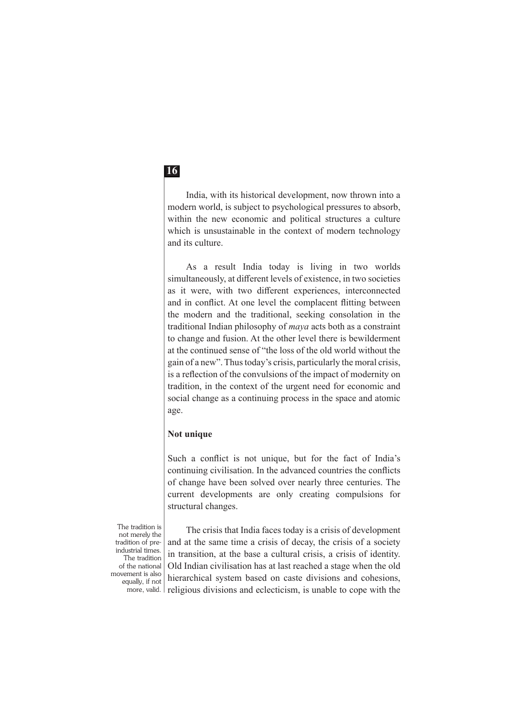India, with its historical development, now thrown into a modern world, is subject to psychological pressures to absorb, within the new economic and political structures a culture which is unsustainable in the context of modern technology and its culture.

As a result India today is living in two worlds simultaneously, at different levels of existence, in two societies as it were, with two different experiences, interconnected and in conflict. At one level the complacent flitting between the modern and the traditional, seeking consolation in the traditional Indian philosophy of *maya* acts both as a constraint to change and fusion. At the other level there is bewilderment at the continued sense of "the loss of the old world without the gain of a new". Thus today's crisis, particularly the moral crisis, is a reflection of the convulsions of the impact of modernity on tradition, in the context of the urgent need for economic and social change as a continuing process in the space and atomic age.

#### **Not unique**

Such a conflict is not unique, but for the fact of India's continuing civilisation. In the advanced countries the conflicts of change have been solved over nearly three centuries. The current developments are only creating compulsions for structural changes.

The tradition is not merely the tradition of preindustrial times. The tradition of the national movement is also equally, if not more, valid.

The crisis that India faces today is a crisis of development and at the same time a crisis of decay, the crisis of a society in transition, at the base a cultural crisis, a crisis of identity. Old Indian civilisation has at last reached a stage when the old hierarchical system based on caste divisions and cohesions, religious divisions and eclecticism, is unable to cope with the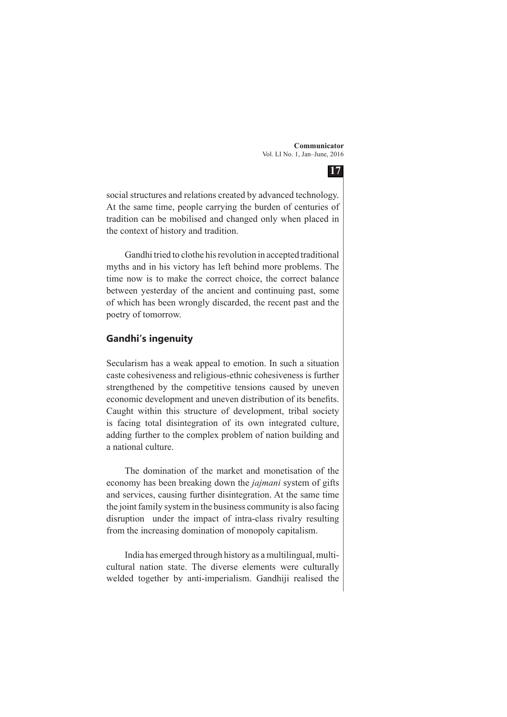

social structures and relations created by advanced technology. At the same time, people carrying the burden of centuries of tradition can be mobilised and changed only when placed in the context of history and tradition.

Gandhi tried to clothe his revolution in accepted traditional myths and in his victory has left behind more problems. The time now is to make the correct choice, the correct balance between yesterday of the ancient and continuing past, some of which has been wrongly discarded, the recent past and the poetry of tomorrow.

#### **Gandhi's ingenuity**

Secularism has a weak appeal to emotion. In such a situation caste cohesiveness and religious-ethnic cohesiveness is further strengthened by the competitive tensions caused by uneven economic development and uneven distribution of its benefits. Caught within this structure of development, tribal society is facing total disintegration of its own integrated culture, adding further to the complex problem of nation building and a national culture.

The domination of the market and monetisation of the economy has been breaking down the *jajmani* system of gifts and services, causing further disintegration. At the same time the joint family system in the business community is also facing disruption under the impact of intra-class rivalry resulting from the increasing domination of monopoly capitalism.

India has emerged through history as a multilingual, multicultural nation state. The diverse elements were culturally welded together by anti-imperialism. Gandhiji realised the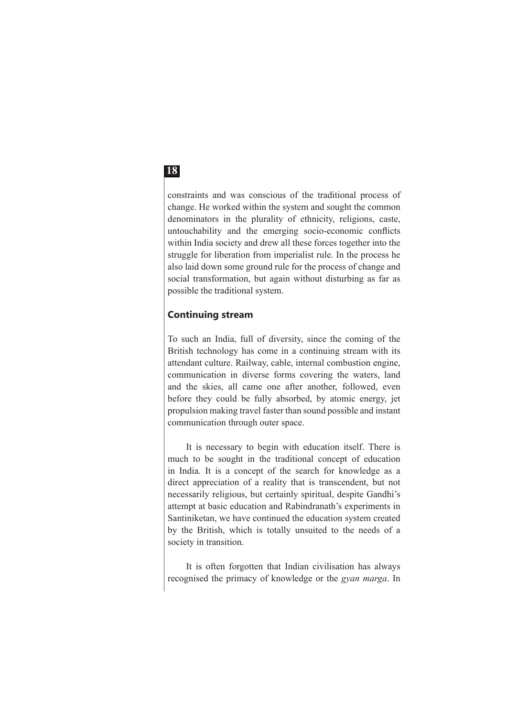constraints and was conscious of the traditional process of change. He worked within the system and sought the common denominators in the plurality of ethnicity, religions, caste, untouchability and the emerging socio-economic conflicts within India society and drew all these forces together into the struggle for liberation from imperialist rule. In the process he also laid down some ground rule for the process of change and social transformation, but again without disturbing as far as possible the traditional system.

### **Continuing stream**

To such an India, full of diversity, since the coming of the British technology has come in a continuing stream with its attendant culture. Railway, cable, internal combustion engine, communication in diverse forms covering the waters, land and the skies, all came one after another, followed, even before they could be fully absorbed, by atomic energy, jet propulsion making travel faster than sound possible and instant communication through outer space.

It is necessary to begin with education itself. There is much to be sought in the traditional concept of education in India. It is a concept of the search for knowledge as a direct appreciation of a reality that is transcendent, but not necessarily religious, but certainly spiritual, despite Gandhi's attempt at basic education and Rabindranath's experiments in Santiniketan, we have continued the education system created by the British, which is totally unsuited to the needs of a society in transition.

It is often forgotten that Indian civilisation has always recognised the primacy of knowledge or the *gyan marga*. In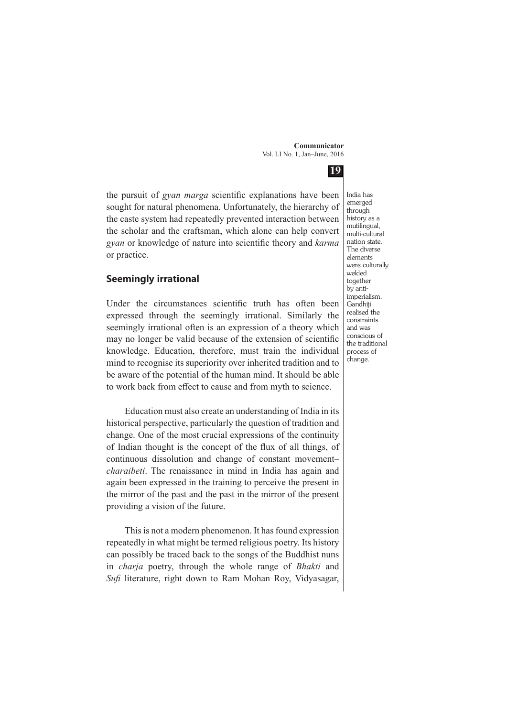**19**

the pursuit of *gyan marga* scientific explanations have been sought for natural phenomena. Unfortunately, the hierarchy of the caste system had repeatedly prevented interaction between the scholar and the craftsman, which alone can help convert *gyan* or knowledge of nature into scientific theory and *karma* or practice.

#### **Seemingly irrational**

Under the circumstances scientific truth has often been expressed through the seemingly irrational. Similarly the seemingly irrational often is an expression of a theory which may no longer be valid because of the extension of scientific knowledge. Education, therefore, must train the individual mind to recognise its superiority over inherited tradition and to be aware of the potential of the human mind. It should be able to work back from effect to cause and from myth to science.

Education must also create an understanding of India in its historical perspective, particularly the question of tradition and change. One of the most crucial expressions of the continuity of Indian thought is the concept of the flux of all things, of continuous dissolution and change of constant movement– *charaibeti*. The renaissance in mind in India has again and again been expressed in the training to perceive the present in the mirror of the past and the past in the mirror of the present providing a vision of the future.

This is not a modern phenomenon. It has found expression repeatedly in what might be termed religious poetry. Its history can possibly be traced back to the songs of the Buddhist nuns in *charja* poetry, through the whole range of *Bhakti* and *Sufi* literature, right down to Ram Mohan Roy, Vidyasagar, India has emerged through history as a mutilingual, multi-cultural nation state. The diverse elements were culturally welded together by antiimperialism. Gandhiji realised the constraints and was conscious of the traditional process of change.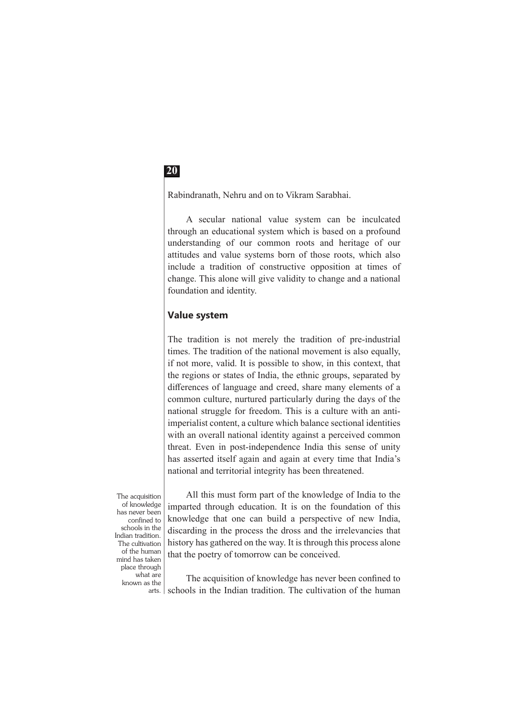Rabindranath, Nehru and on to Vikram Sarabhai.

A secular national value system can be inculcated through an educational system which is based on a profound understanding of our common roots and heritage of our attitudes and value systems born of those roots, which also include a tradition of constructive opposition at times of change. This alone will give validity to change and a national foundation and identity.

#### **Value system**

The tradition is not merely the tradition of pre-industrial times. The tradition of the national movement is also equally, if not more, valid. It is possible to show, in this context, that the regions or states of India, the ethnic groups, separated by differences of language and creed, share many elements of a common culture, nurtured particularly during the days of the national struggle for freedom. This is a culture with an antiimperialist content, a culture which balance sectional identities with an overall national identity against a perceived common threat. Even in post-independence India this sense of unity has asserted itself again and again at every time that India's national and territorial integrity has been threatened.

The acquisition of knowledge has never been confined to schools in the Indian tradition. The cultivation of the human mind has taken place through what are known as the arts.

All this must form part of the knowledge of India to the imparted through education. It is on the foundation of this knowledge that one can build a perspective of new India, discarding in the process the dross and the irrelevancies that history has gathered on the way. It is through this process alone that the poetry of tomorrow can be conceived.

The acquisition of knowledge has never been confined to schools in the Indian tradition. The cultivation of the human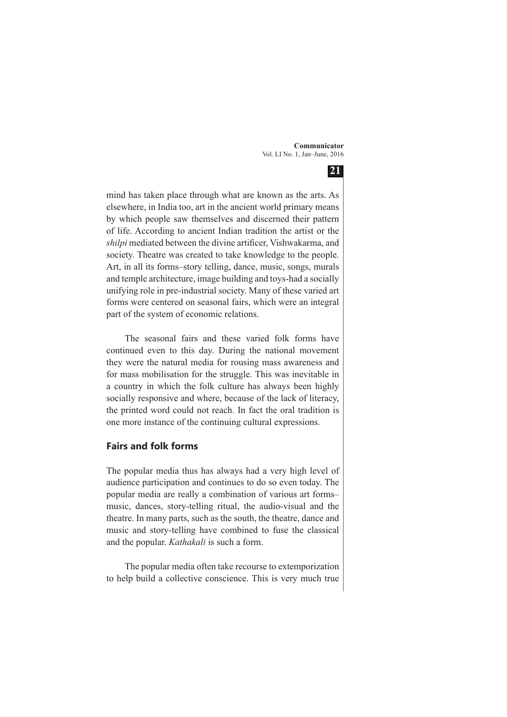**21**

mind has taken place through what are known as the arts. As elsewhere, in India too, art in the ancient world primary means by which people saw themselves and discerned their pattern of life. According to ancient Indian tradition the artist or the *shilpi* mediated between the divine artificer, Vishwakarma, and society. Theatre was created to take knowledge to the people. Art, in all its forms–story telling, dance, music, songs, murals and temple architecture, image building and toys-had a socially unifying role in pre-industrial society. Many of these varied art forms were centered on seasonal fairs, which were an integral part of the system of economic relations.

The seasonal fairs and these varied folk forms have continued even to this day. During the national movement they were the natural media for rousing mass awareness and for mass mobilisation for the struggle. This was inevitable in a country in which the folk culture has always been highly socially responsive and where, because of the lack of literacy, the printed word could not reach. In fact the oral tradition is one more instance of the continuing cultural expressions.

### **Fairs and folk forms**

The popular media thus has always had a very high level of audience participation and continues to do so even today. The popular media are really a combination of various art forms– music, dances, story-telling ritual, the audio-visual and the theatre. In many parts, such as the south, the theatre, dance and music and story-telling have combined to fuse the classical and the popular. *Kathakali* is such a form.

The popular media often take recourse to extemporization to help build a collective conscience. This is very much true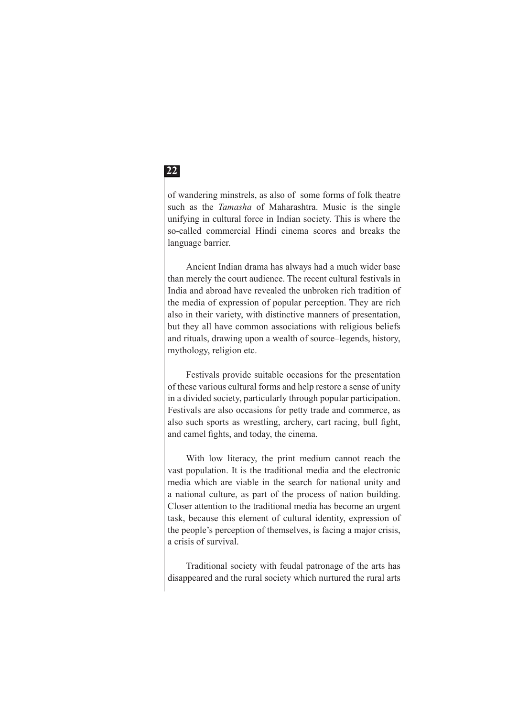of wandering minstrels, as also of some forms of folk theatre such as the *Tamasha* of Maharashtra. Music is the single unifying in cultural force in Indian society. This is where the so-called commercial Hindi cinema scores and breaks the language barrier.

Ancient Indian drama has always had a much wider base than merely the court audience. The recent cultural festivals in India and abroad have revealed the unbroken rich tradition of the media of expression of popular perception. They are rich also in their variety, with distinctive manners of presentation, but they all have common associations with religious beliefs and rituals, drawing upon a wealth of source–legends, history, mythology, religion etc.

Festivals provide suitable occasions for the presentation of these various cultural forms and help restore a sense of unity in a divided society, particularly through popular participation. Festivals are also occasions for petty trade and commerce, as also such sports as wrestling, archery, cart racing, bull fight, and camel fights, and today, the cinema.

With low literacy, the print medium cannot reach the vast population. It is the traditional media and the electronic media which are viable in the search for national unity and a national culture, as part of the process of nation building. Closer attention to the traditional media has become an urgent task, because this element of cultural identity, expression of the people's perception of themselves, is facing a major crisis, a crisis of survival.

Traditional society with feudal patronage of the arts has disappeared and the rural society which nurtured the rural arts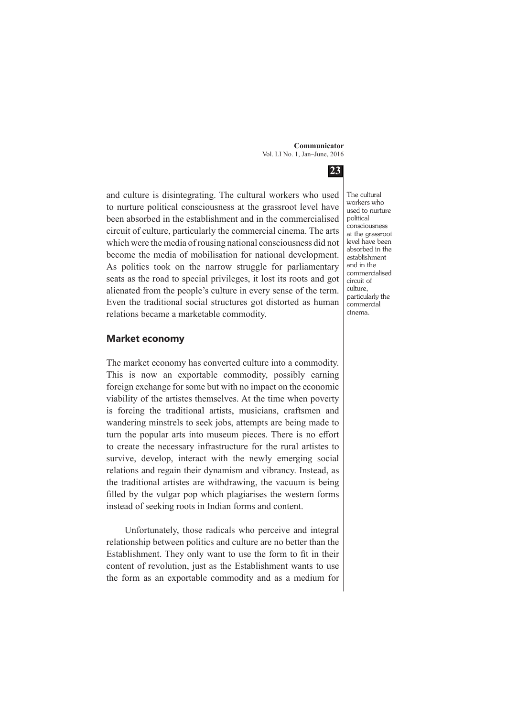**23**

and culture is disintegrating. The cultural workers who used to nurture political consciousness at the grassroot level have been absorbed in the establishment and in the commercialised circuit of culture, particularly the commercial cinema. The arts which were the media of rousing national consciousness did not become the media of mobilisation for national development. As politics took on the narrow struggle for parliamentary seats as the road to special privileges, it lost its roots and got alienated from the people's culture in every sense of the term. Even the traditional social structures got distorted as human relations became a marketable commodity.

#### **Market economy**

The market economy has converted culture into a commodity. This is now an exportable commodity, possibly earning foreign exchange for some but with no impact on the economic viability of the artistes themselves. At the time when poverty is forcing the traditional artists, musicians, craftsmen and wandering minstrels to seek jobs, attempts are being made to turn the popular arts into museum pieces. There is no effort to create the necessary infrastructure for the rural artistes to survive, develop, interact with the newly emerging social relations and regain their dynamism and vibrancy. Instead, as the traditional artistes are withdrawing, the vacuum is being filled by the vulgar pop which plagiarises the western forms instead of seeking roots in Indian forms and content.

Unfortunately, those radicals who perceive and integral relationship between politics and culture are no better than the Establishment. They only want to use the form to fit in their content of revolution, just as the Establishment wants to use the form as an exportable commodity and as a medium for The cultural workers who used to nurture political consciousness at the grassroot level have been absorbed in the establishment and in the commercialised circuit of culture, particularly the commercial cinema.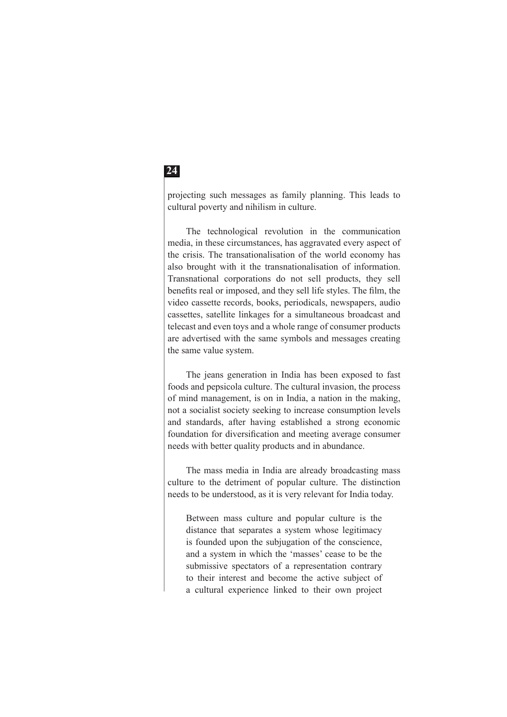projecting such messages as family planning. This leads to cultural poverty and nihilism in culture.

The technological revolution in the communication media, in these circumstances, has aggravated every aspect of the crisis. The transationalisation of the world economy has also brought with it the transnationalisation of information. Transnational corporations do not sell products, they sell benefits real or imposed, and they sell life styles. The film, the video cassette records, books, periodicals, newspapers, audio cassettes, satellite linkages for a simultaneous broadcast and telecast and even toys and a whole range of consumer products are advertised with the same symbols and messages creating the same value system.

The jeans generation in India has been exposed to fast foods and pepsicola culture. The cultural invasion, the process of mind management, is on in India, a nation in the making, not a socialist society seeking to increase consumption levels and standards, after having established a strong economic foundation for diversification and meeting average consumer needs with better quality products and in abundance.

The mass media in India are already broadcasting mass culture to the detriment of popular culture. The distinction needs to be understood, as it is very relevant for India today.

Between mass culture and popular culture is the distance that separates a system whose legitimacy is founded upon the subjugation of the conscience, and a system in which the 'masses' cease to be the submissive spectators of a representation contrary to their interest and become the active subject of a cultural experience linked to their own project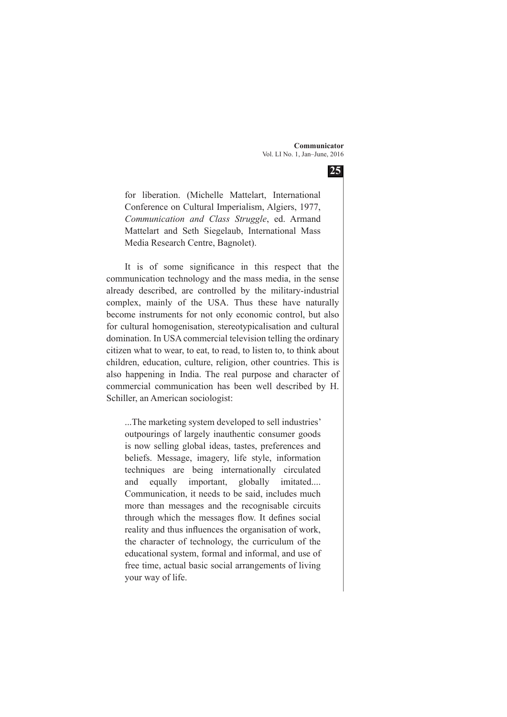**25**

for liberation. (Michelle Mattelart, International Conference on Cultural Imperialism, Algiers, 1977, *Communication and Class Struggle*, ed. Armand Mattelart and Seth Siegelaub, International Mass Media Research Centre, Bagnolet).

It is of some significance in this respect that the communication technology and the mass media, in the sense already described, are controlled by the military-industrial complex, mainly of the USA. Thus these have naturally become instruments for not only economic control, but also for cultural homogenisation, stereotypicalisation and cultural domination. In USA commercial television telling the ordinary citizen what to wear, to eat, to read, to listen to, to think about children, education, culture, religion, other countries. This is also happening in India. The real purpose and character of commercial communication has been well described by H. Schiller, an American sociologist:

...The marketing system developed to sell industries' outpourings of largely inauthentic consumer goods is now selling global ideas, tastes, preferences and beliefs. Message, imagery, life style, information techniques are being internationally circulated and equally important, globally imitated.... Communication, it needs to be said, includes much more than messages and the recognisable circuits through which the messages flow. It defines social reality and thus influences the organisation of work, the character of technology, the curriculum of the educational system, formal and informal, and use of free time, actual basic social arrangements of living your way of life.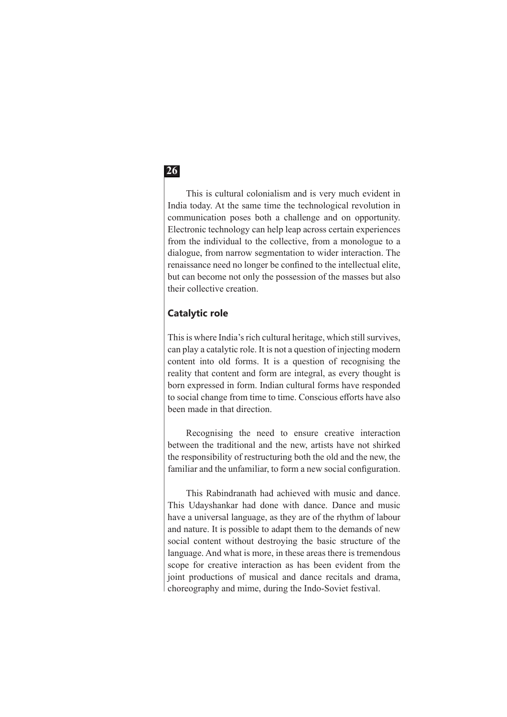This is cultural colonialism and is very much evident in India today. At the same time the technological revolution in communication poses both a challenge and on opportunity. Electronic technology can help leap across certain experiences from the individual to the collective, from a monologue to a dialogue, from narrow segmentation to wider interaction. The renaissance need no longer be confined to the intellectual elite, but can become not only the possession of the masses but also their collective creation.

### **Catalytic role**

This is where India's rich cultural heritage, which still survives, can play a catalytic role. It is not a question of injecting modern content into old forms. It is a question of recognising the reality that content and form are integral, as every thought is born expressed in form. Indian cultural forms have responded to social change from time to time. Conscious efforts have also been made in that direction.

Recognising the need to ensure creative interaction between the traditional and the new, artists have not shirked the responsibility of restructuring both the old and the new, the familiar and the unfamiliar, to form a new social configuration.

This Rabindranath had achieved with music and dance. This Udayshankar had done with dance. Dance and music have a universal language, as they are of the rhythm of labour and nature. It is possible to adapt them to the demands of new social content without destroying the basic structure of the language. And what is more, in these areas there is tremendous scope for creative interaction as has been evident from the joint productions of musical and dance recitals and drama, choreography and mime, during the Indo-Soviet festival.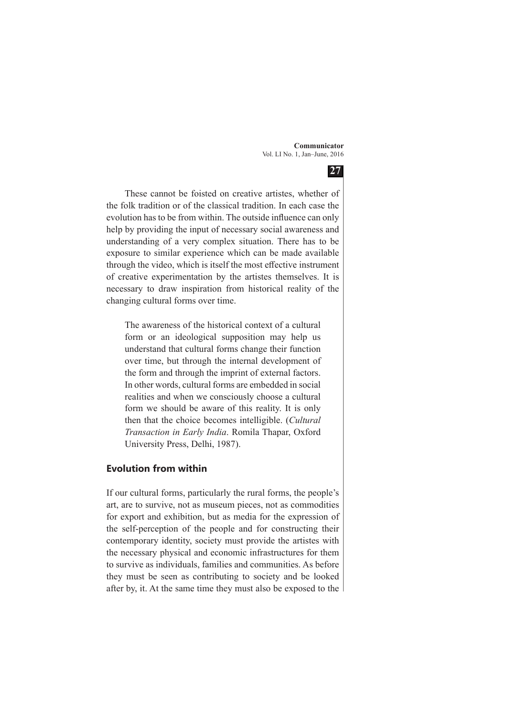

These cannot be foisted on creative artistes, whether of the folk tradition or of the classical tradition. In each case the evolution has to be from within. The outside influence can only help by providing the input of necessary social awareness and understanding of a very complex situation. There has to be exposure to similar experience which can be made available through the video, which is itself the most effective instrument of creative experimentation by the artistes themselves. It is necessary to draw inspiration from historical reality of the changing cultural forms over time.

The awareness of the historical context of a cultural form or an ideological supposition may help us understand that cultural forms change their function over time, but through the internal development of the form and through the imprint of external factors. In other words, cultural forms are embedded in social realities and when we consciously choose a cultural form we should be aware of this reality. It is only then that the choice becomes intelligible. (*Cultural Transaction in Early India*. Romila Thapar, Oxford University Press, Delhi, 1987).

#### **Evolution from within**

If our cultural forms, particularly the rural forms, the people's art, are to survive, not as museum pieces, not as commodities for export and exhibition, but as media for the expression of the self-perception of the people and for constructing their contemporary identity, society must provide the artistes with the necessary physical and economic infrastructures for them to survive as individuals, families and communities. As before they must be seen as contributing to society and be looked after by, it. At the same time they must also be exposed to the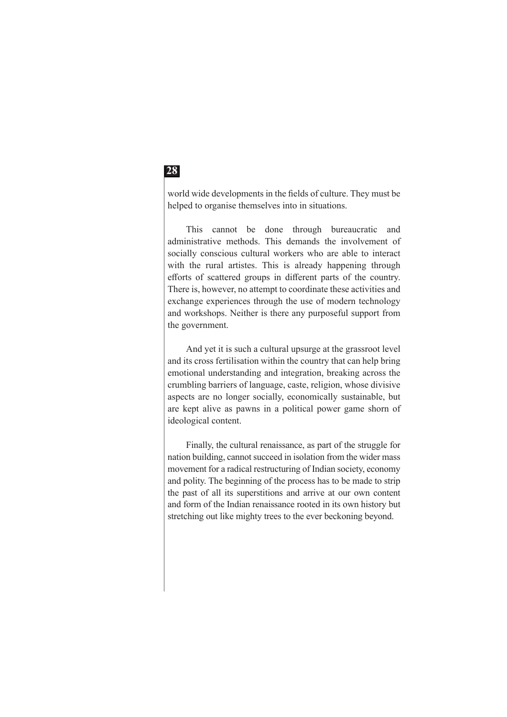world wide developments in the fields of culture. They must be helped to organise themselves into in situations.

This cannot be done through bureaucratic and administrative methods. This demands the involvement of socially conscious cultural workers who are able to interact with the rural artistes. This is already happening through efforts of scattered groups in different parts of the country. There is, however, no attempt to coordinate these activities and exchange experiences through the use of modern technology and workshops. Neither is there any purposeful support from the government.

And yet it is such a cultural upsurge at the grassroot level and its cross fertilisation within the country that can help bring emotional understanding and integration, breaking across the crumbling barriers of language, caste, religion, whose divisive aspects are no longer socially, economically sustainable, but are kept alive as pawns in a political power game shorn of ideological content.

Finally, the cultural renaissance, as part of the struggle for nation building, cannot succeed in isolation from the wider mass movement for a radical restructuring of Indian society, economy and polity. The beginning of the process has to be made to strip the past of all its superstitions and arrive at our own content and form of the Indian renaissance rooted in its own history but stretching out like mighty trees to the ever beckoning beyond.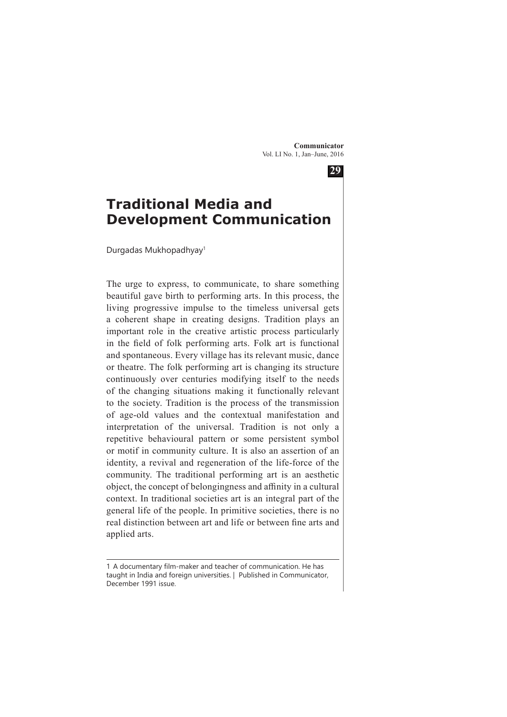**29**



Durgadas Mukhopadhyay1

The urge to express, to communicate, to share something beautiful gave birth to performing arts. In this process, the living progressive impulse to the timeless universal gets a coherent shape in creating designs. Tradition plays an important role in the creative artistic process particularly in the field of folk performing arts. Folk art is functional and spontaneous. Every village has its relevant music, dance or theatre. The folk performing art is changing its structure continuously over centuries modifying itself to the needs of the changing situations making it functionally relevant to the society. Tradition is the process of the transmission of age-old values and the contextual manifestation and interpretation of the universal. Tradition is not only a repetitive behavioural pattern or some persistent symbol or motif in community culture. It is also an assertion of an identity, a revival and regeneration of the life-force of the community. The traditional performing art is an aesthetic object, the concept of belongingness and affinity in a cultural context. In traditional societies art is an integral part of the general life of the people. In primitive societies, there is no real distinction between art and life or between fine arts and applied arts.

<sup>1</sup> A documentary film-maker and teacher of communication. He has taught in India and foreign universities. | Published in Communicator, December 1991 issue.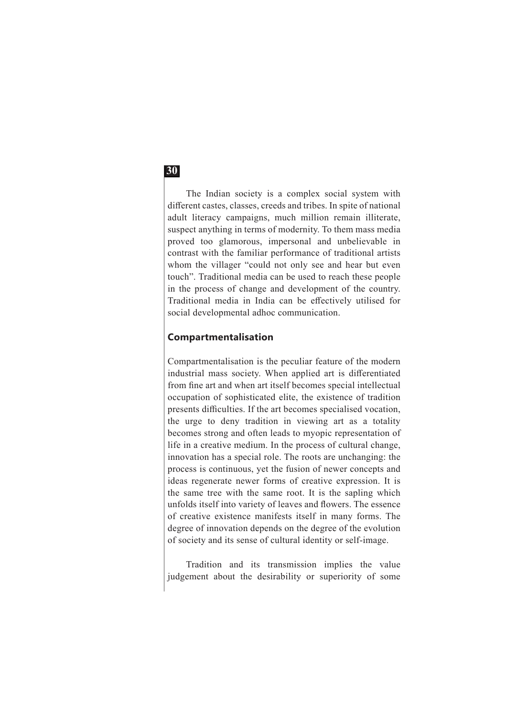The Indian society is a complex social system with different castes, classes, creeds and tribes. In spite of national adult literacy campaigns, much million remain illiterate, suspect anything in terms of modernity. To them mass media proved too glamorous, impersonal and unbelievable in contrast with the familiar performance of traditional artists whom the villager "could not only see and hear but even touch". Traditional media can be used to reach these people in the process of change and development of the country. Traditional media in India can be effectively utilised for social developmental adhoc communication.

#### **Compartmentalisation**

Compartmentalisation is the peculiar feature of the modern industrial mass society. When applied art is differentiated from fine art and when art itself becomes special intellectual occupation of sophisticated elite, the existence of tradition presents difficulties. If the art becomes specialised vocation, the urge to deny tradition in viewing art as a totality becomes strong and often leads to myopic representation of life in a creative medium. In the process of cultural change, innovation has a special role. The roots are unchanging: the process is continuous, yet the fusion of newer concepts and ideas regenerate newer forms of creative expression. It is the same tree with the same root. It is the sapling which unfolds itself into variety of leaves and flowers. The essence of creative existence manifests itself in many forms. The degree of innovation depends on the degree of the evolution of society and its sense of cultural identity or self-image.

Tradition and its transmission implies the value judgement about the desirability or superiority of some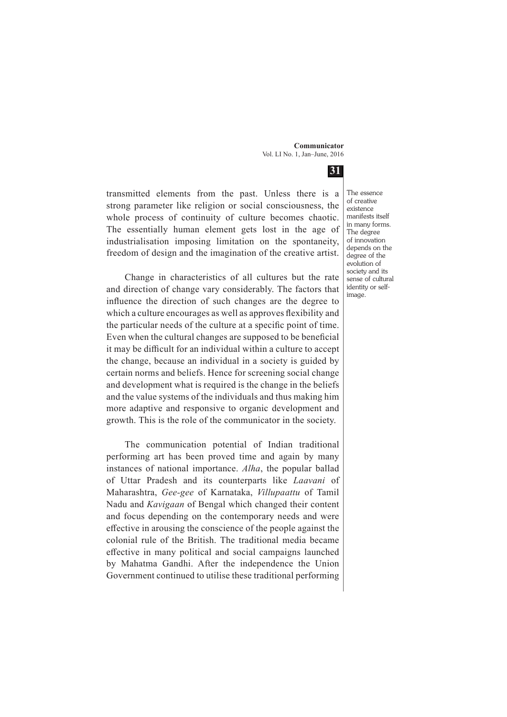**31** transmitted elements from the past. Unless there is a strong parameter like religion or social consciousness, the whole process of continuity of culture becomes chaotic. The essentially human element gets lost in the age of industrialisation imposing limitation on the spontaneity, freedom of design and the imagination of the creative artist.

> Change in characteristics of all cultures but the rate and direction of change vary considerably. The factors that influence the direction of such changes are the degree to which a culture encourages as well as approves flexibility and the particular needs of the culture at a specific point of time. Even when the cultural changes are supposed to be beneficial it may be difficult for an individual within a culture to accept the change, because an individual in a society is guided by certain norms and beliefs. Hence for screening social change and development what is required is the change in the beliefs and the value systems of the individuals and thus making him more adaptive and responsive to organic development and growth. This is the role of the communicator in the society.

> The communication potential of Indian traditional performing art has been proved time and again by many instances of national importance. *Alha*, the popular ballad of Uttar Pradesh and its counterparts like *Laavani* of Maharashtra, *Gee-gee* of Karnataka, *Villupaattu* of Tamil Nadu and *Kavigaan* of Bengal which changed their content and focus depending on the contemporary needs and were effective in arousing the conscience of the people against the colonial rule of the British. The traditional media became effective in many political and social campaigns launched by Mahatma Gandhi. After the independence the Union Government continued to utilise these traditional performing

The essence of creative existence manifests itself in many forms. The degree of innovation depends on the degree of the evolution of society and its sense of cultural identity or selfimage.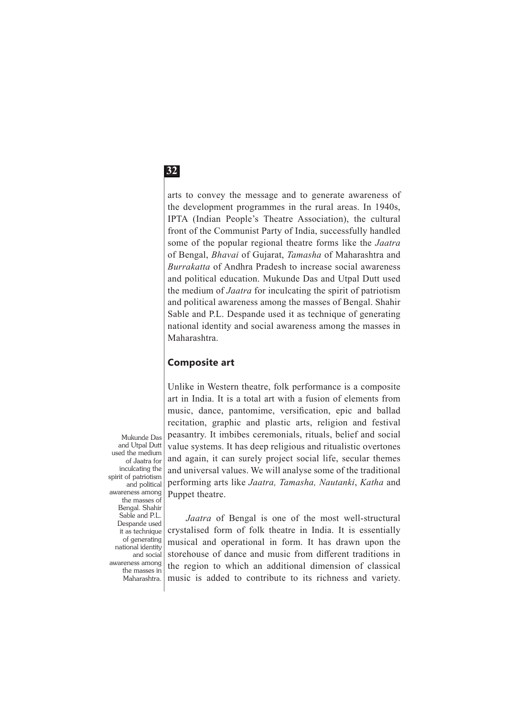arts to convey the message and to generate awareness of the development programmes in the rural areas. In 1940s, IPTA (Indian People's Theatre Association), the cultural front of the Communist Party of India, successfully handled some of the popular regional theatre forms like the *Jaatra* of Bengal, *Bhavai* of Gujarat, *Tamasha* of Maharashtra and *Burrakatta* of Andhra Pradesh to increase social awareness and political education. Mukunde Das and Utpal Dutt used the medium of *Jaatra* for inculcating the spirit of patriotism and political awareness among the masses of Bengal. Shahir Sable and P.L. Despande used it as technique of generating national identity and social awareness among the masses in Maharashtra.

### **Composite art**

Unlike in Western theatre, folk performance is a composite art in India. It is a total art with a fusion of elements from music, dance, pantomime, versification, epic and ballad recitation, graphic and plastic arts, religion and festival peasantry. It imbibes ceremonials, rituals, belief and social value systems. It has deep religious and ritualistic overtones and again, it can surely project social life, secular themes and universal values. We will analyse some of the traditional performing arts like *Jaatra, Tamasha, Nautanki*, *Katha* and Puppet theatre.

*Jaatra* of Bengal is one of the most well-structural crystalised form of folk theatre in India. It is essentially musical and operational in form. It has drawn upon the storehouse of dance and music from different traditions in

Mukunde Das and Utpal Dutt used the medium of Jaatra for inculcating the spirit of patriotism and political awareness among the masses of Bengal. Shahir Sable and P.L. Despande used it as technique of generating national identity and social awareness among the masses in

the region to which an additional dimension of classical music is added to contribute to its richness and variety. Maharashtra.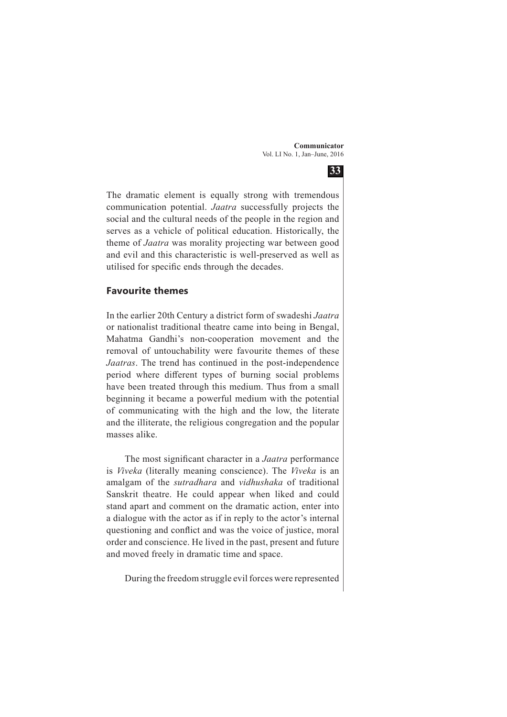

The dramatic element is equally strong with tremendous communication potential. *Jaatra* successfully projects the social and the cultural needs of the people in the region and serves as a vehicle of political education. Historically, the theme of *Jaatra* was morality projecting war between good and evil and this characteristic is well-preserved as well as utilised for specific ends through the decades.

#### **Favourite themes**

In the earlier 20th Century a district form of swadeshi *Jaatra* or nationalist traditional theatre came into being in Bengal, Mahatma Gandhi's non-cooperation movement and the removal of untouchability were favourite themes of these *Jaatras*. The trend has continued in the post-independence period where different types of burning social problems have been treated through this medium. Thus from a small beginning it became a powerful medium with the potential of communicating with the high and the low, the literate and the illiterate, the religious congregation and the popular masses alike.

The most significant character in a *Jaatra* performance is *Viveka* (literally meaning conscience). The *Viveka* is an amalgam of the *sutradhara* and *vidhushaka* of traditional Sanskrit theatre. He could appear when liked and could stand apart and comment on the dramatic action, enter into a dialogue with the actor as if in reply to the actor's internal questioning and conflict and was the voice of justice, moral order and conscience. He lived in the past, present and future and moved freely in dramatic time and space.

During the freedom struggle evil forces were represented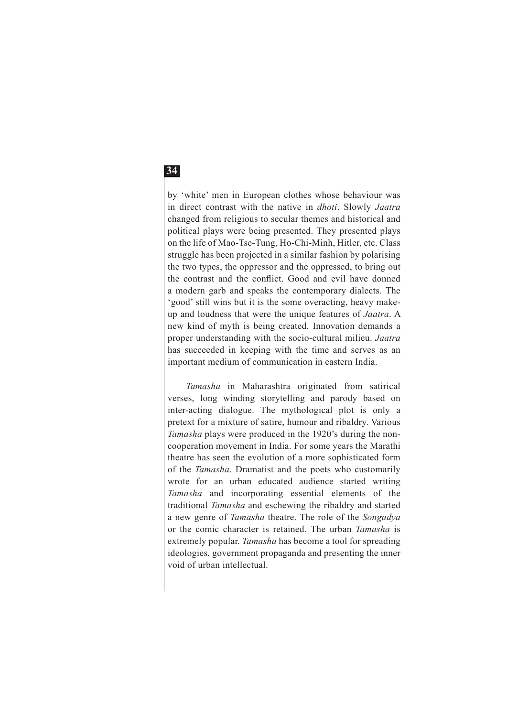by 'white' men in European clothes whose behaviour was in direct contrast with the native in *dhoti*. Slowly *Jaatra* changed from religious to secular themes and historical and political plays were being presented. They presented plays on the life of Mao-Tse-Tung, Ho-Chi-Minh, Hitler, etc. Class struggle has been projected in a similar fashion by polarising the two types, the oppressor and the oppressed, to bring out the contrast and the conflict. Good and evil have donned a modern garb and speaks the contemporary dialects. The 'good' still wins but it is the some overacting, heavy makeup and loudness that were the unique features of *Jaatra*. A new kind of myth is being created. Innovation demands a proper understanding with the socio-cultural milieu. *Jaatra* has succeeded in keeping with the time and serves as an important medium of communication in eastern India.

*Tamasha* in Maharashtra originated from satirical verses, long winding storytelling and parody based on inter-acting dialogue. The mythological plot is only a pretext for a mixture of satire, humour and ribaldry. Various *Tamasha* plays were produced in the 1920's during the noncooperation movement in India. For some years the Marathi theatre has seen the evolution of a more sophisticated form of the *Tamasha*. Dramatist and the poets who customarily wrote for an urban educated audience started writing *Tamasha* and incorporating essential elements of the traditional *Tamasha* and eschewing the ribaldry and started a new genre of *Tamasha* theatre. The role of the *Songadya* or the comic character is retained. The urban *Tamasha* is extremely popular. *Tamasha* has become a tool for spreading ideologies, government propaganda and presenting the inner void of urban intellectual.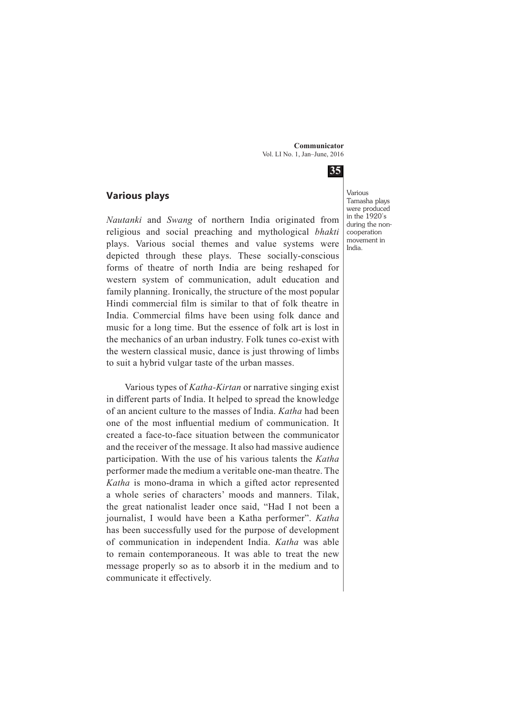

### **Various plays**

*Nautanki* and *Swang* of northern India originated from religious and social preaching and mythological *bhakti* plays. Various social themes and value systems were depicted through these plays. These socially-conscious forms of theatre of north India are being reshaped for western system of communication, adult education and family planning. Ironically, the structure of the most popular Hindi commercial film is similar to that of folk theatre in India. Commercial films have been using folk dance and music for a long time. But the essence of folk art is lost in the mechanics of an urban industry. Folk tunes co-exist with the western classical music, dance is just throwing of limbs to suit a hybrid vulgar taste of the urban masses.

Various types of *Katha-Kirtan* or narrative singing exist in different parts of India. It helped to spread the knowledge of an ancient culture to the masses of India. *Katha* had been one of the most influential medium of communication. It created a face-to-face situation between the communicator and the receiver of the message. It also had massive audience participation. With the use of his various talents the *Katha* performer made the medium a veritable one-man theatre. The *Katha* is mono-drama in which a gifted actor represented a whole series of characters' moods and manners. Tilak, the great nationalist leader once said, "Had I not been a journalist, I would have been a Katha performer". *Katha* has been successfully used for the purpose of development of communication in independent India. *Katha* was able to remain contemporaneous. It was able to treat the new message properly so as to absorb it in the medium and to communicate it effectively.

Various Tamasha plays were produced in the 1920's during the noncooperation movement in India.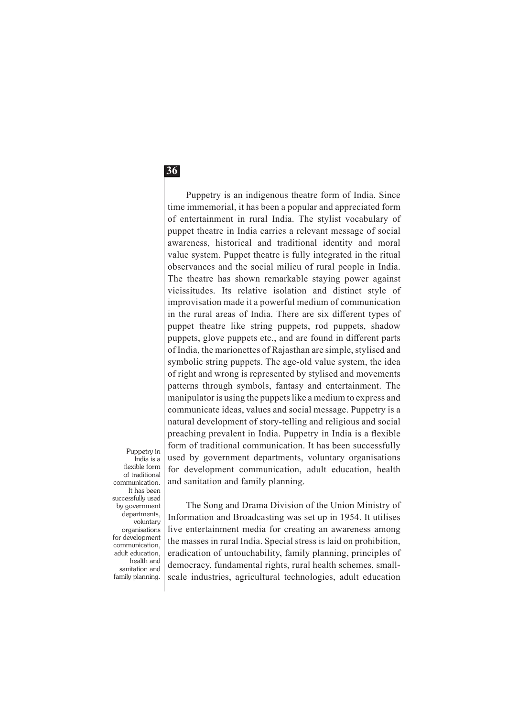Puppetry is an indigenous theatre form of India. Since time immemorial, it has been a popular and appreciated form of entertainment in rural India. The stylist vocabulary of puppet theatre in India carries a relevant message of social awareness, historical and traditional identity and moral value system. Puppet theatre is fully integrated in the ritual observances and the social milieu of rural people in India. The theatre has shown remarkable staying power against vicissitudes. Its relative isolation and distinct style of improvisation made it a powerful medium of communication in the rural areas of India. There are six different types of puppet theatre like string puppets, rod puppets, shadow puppets, glove puppets etc., and are found in different parts of India, the marionettes of Rajasthan are simple, stylised and symbolic string puppets. The age-old value system, the idea of right and wrong is represented by stylised and movements patterns through symbols, fantasy and entertainment. The manipulator is using the puppets like a medium to express and communicate ideas, values and social message. Puppetry is a natural development of story-telling and religious and social preaching prevalent in India. Puppetry in India is a flexible form of traditional communication. It has been successfully used by government departments, voluntary organisations for development communication, adult education, health and sanitation and family planning.

Puppetry in India is a flexible form of traditional communication. It has been successfully used by government departments, voluntary organisations for development communication, adult education, health and sanitation and family planning.

The Song and Drama Division of the Union Ministry of Information and Broadcasting was set up in 1954. It utilises live entertainment media for creating an awareness among the masses in rural India. Special stress is laid on prohibition, eradication of untouchability, family planning, principles of democracy, fundamental rights, rural health schemes, smallscale industries, agricultural technologies, adult education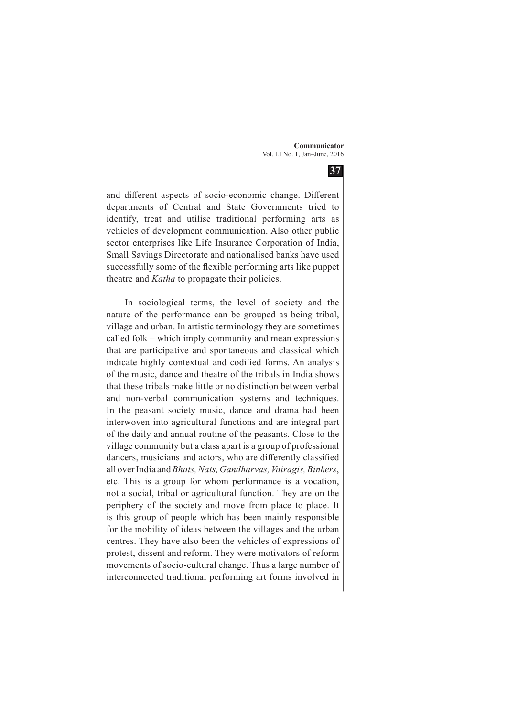

and different aspects of socio-economic change. Different departments of Central and State Governments tried to identify, treat and utilise traditional performing arts as vehicles of development communication. Also other public sector enterprises like Life Insurance Corporation of India, Small Savings Directorate and nationalised banks have used successfully some of the flexible performing arts like puppet theatre and *Katha* to propagate their policies.

In sociological terms, the level of society and the nature of the performance can be grouped as being tribal, village and urban. In artistic terminology they are sometimes called folk – which imply community and mean expressions that are participative and spontaneous and classical which indicate highly contextual and codified forms. An analysis of the music, dance and theatre of the tribals in India shows that these tribals make little or no distinction between verbal and non-verbal communication systems and techniques. In the peasant society music, dance and drama had been interwoven into agricultural functions and are integral part of the daily and annual routine of the peasants. Close to the village community but a class apart is a group of professional dancers, musicians and actors, who are differently classified all over India and *Bhats, Nats, Gandharvas, Vairagis, Binkers*, etc. This is a group for whom performance is a vocation, not a social, tribal or agricultural function. They are on the periphery of the society and move from place to place. It is this group of people which has been mainly responsible for the mobility of ideas between the villages and the urban centres. They have also been the vehicles of expressions of protest, dissent and reform. They were motivators of reform movements of socio-cultural change. Thus a large number of interconnected traditional performing art forms involved in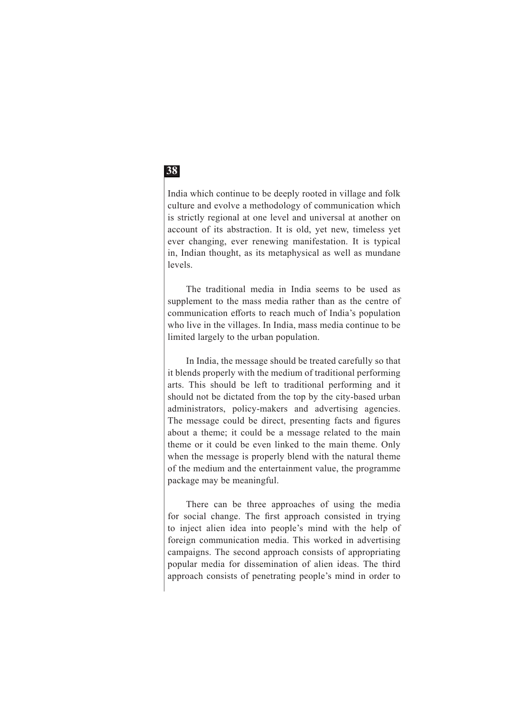India which continue to be deeply rooted in village and folk culture and evolve a methodology of communication which is strictly regional at one level and universal at another on account of its abstraction. It is old, yet new, timeless yet ever changing, ever renewing manifestation. It is typical in, Indian thought, as its metaphysical as well as mundane levels.

The traditional media in India seems to be used as supplement to the mass media rather than as the centre of communication efforts to reach much of India's population who live in the villages. In India, mass media continue to be limited largely to the urban population.

In India, the message should be treated carefully so that it blends properly with the medium of traditional performing arts. This should be left to traditional performing and it should not be dictated from the top by the city-based urban administrators, policy-makers and advertising agencies. The message could be direct, presenting facts and figures about a theme; it could be a message related to the main theme or it could be even linked to the main theme. Only when the message is properly blend with the natural theme of the medium and the entertainment value, the programme package may be meaningful.

There can be three approaches of using the media for social change. The first approach consisted in trying to inject alien idea into people's mind with the help of foreign communication media. This worked in advertising campaigns. The second approach consists of appropriating popular media for dissemination of alien ideas. The third approach consists of penetrating people's mind in order to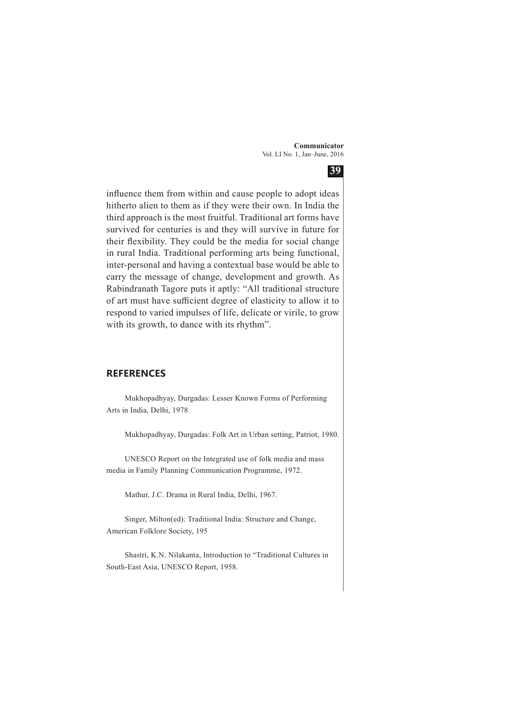

influence them from within and cause people to adopt ideas hitherto alien to them as if they were their own. In India the third approach is the most fruitful. Traditional art forms have survived for centuries is and they will survive in future for their flexibility. They could be the media for social change in rural India. Traditional performing arts being functional, inter-personal and having a contextual base would be able to carry the message of change, development and growth. As Rabindranath Tagore puts it aptly: "All traditional structure of art must have sufficient degree of elasticity to allow it to respond to varied impulses of life, delicate or virile, to grow with its growth, to dance with its rhythm".

#### **REFERENCES**

Mukhopadhyay, Durgadas: Lesser Known Forms of Performing Arts in India, Delhi, 1978

Mukhopadhyay, Durgadas: Folk Art in Urban setting, Patriot, 1980.

UNESCO Report on the Integrated use of folk media and mass media in Family Planning Communication Programme, 1972.

Mathur, J.C. Drama in Rural India, Delhi, 1967.

Singer, Milton(ed): Traditional India: Structure and Change, American Folklore Society, 195

Shastri, K.N. Nilakanta, Introduction to "Traditional Cultures in South-East Asia, UNESCO Report, 1958.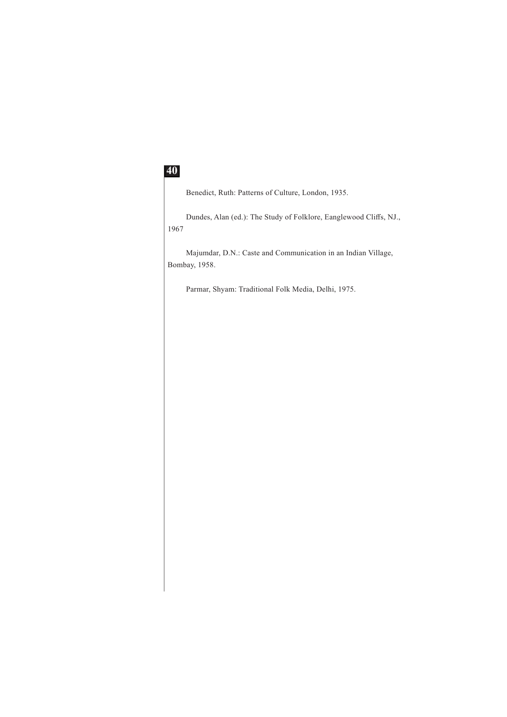Benedict, Ruth: Patterns of Culture, London, 1935.

Dundes, Alan (ed.): The Study of Folklore, Eanglewood Cliffs, NJ., 1967

Majumdar, D.N.: Caste and Communication in an Indian Village, Bombay, 1958.

Parmar, Shyam: Traditional Folk Media, Delhi, 1975.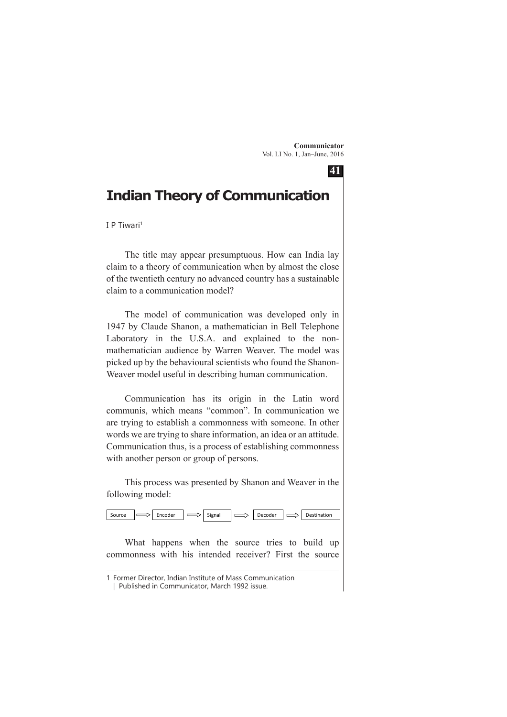**41**

# **Indian Theory of Communication**

I P Tiwari1

The title may appear presumptuous. How can India lay claim to a theory of communication when by almost the close of the twentieth century no advanced country has a sustainable claim to a communication model?

The model of communication was developed only in 1947 by Claude Shanon, a mathematician in Bell Telephone Laboratory in the U.S.A. and explained to the nonmathematician audience by Warren Weaver. The model was picked up by the behavioural scientists who found the Shanon-Weaver model useful in describing human communication.

Communication has its origin in the Latin word communis, which means "common". In communication we are trying to establish a commonness with someone. In other words we are trying to share information, an idea or an attitude. Communication thus, is a process of establishing commonness with another person or group of persons.

This process was presented by Shanon and Weaver in the following model:



What happens when the source tries to build up commonness with his intended receiver? First the source

<sup>1</sup> Former Director, Indian Institute of Mass Communication

<sup>|</sup> Published in Communicator, March 1992 issue.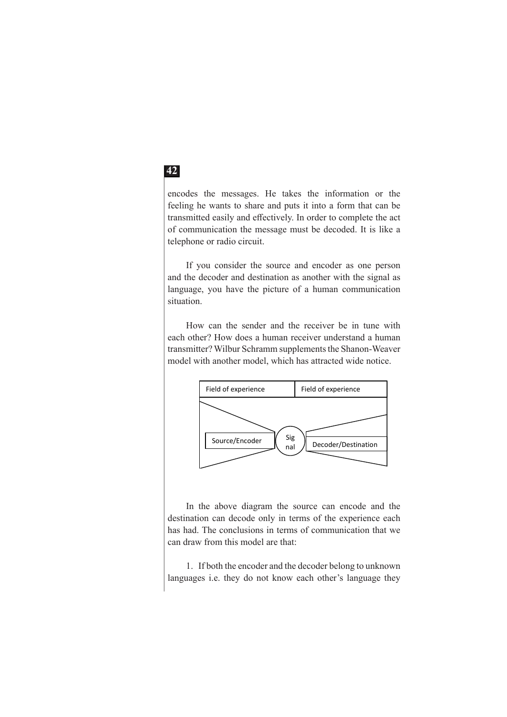encodes the messages. He takes the information or the feeling he wants to share and puts it into a form that can be transmitted easily and effectively. In order to complete the act of communication the message must be decoded. It is like a telephone or radio circuit.

If you consider the source and encoder as one person and the decoder and destination as another with the signal as language, you have the picture of a human communication situation.

How can the sender and the receiver be in tune with each other? How does a human receiver understand a human transmitter? Wilbur Schramm supplements the Shanon-Weaver model with another model, which has attracted wide notice.



In the above diagram the source can encode and the destination can decode only in terms of the experience each has had. The conclusions in terms of communication that we can draw from this model are that:

1. If both the encoder and the decoder belong to unknown languages i.e. they do not know each other's language they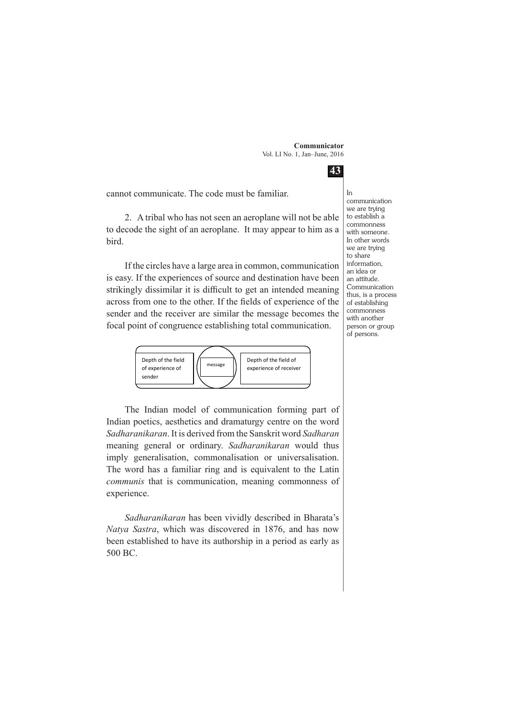**43**

cannot communicate. The code must be familiar.

2. A tribal who has not seen an aeroplane will not be able to decode the sight of an aeroplane. It may appear to him as a bird.

If the circles have a large area in common, communication is easy. If the experiences of source and destination have been strikingly dissimilar it is difficult to get an intended meaning across from one to the other. If the fields of experience of the sender and the receiver are similar the message becomes the focal point of congruence establishing total communication.



The Indian model of communication forming part of Indian poetics, aesthetics and dramaturgy centre on the word *Sadharanikaran*. It is derived from the Sanskrit word *Sadharan* meaning general or ordinary. *Sadharanikaran* would thus imply generalisation, commonalisation or universalisation. The word has a familiar ring and is equivalent to the Latin *communis* that is communication, meaning commonness of experience.

*Sadharanikaran* has been vividly described in Bharata's *Natya Sastra*, which was discovered in 1876, and has now been established to have its authorship in a period as early as 500 BC.

In communication we are trying to establish a commonness with someone. In other words we are trying to share information, an idea or an attitude. Communication thus, is a process of establishing commonness with another person or group of persons.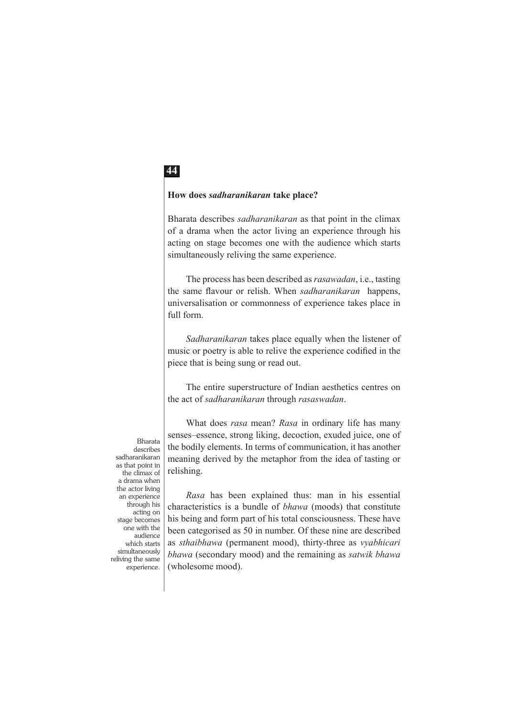#### **How does** *sadharanikaran* **take place?**

Bharata describes *sadharanikaran* as that point in the climax of a drama when the actor living an experience through his acting on stage becomes one with the audience which starts simultaneously reliving the same experience.

The process has been described as *rasawadan*, i.e., tasting the same flavour or relish. When *sadharanikaran* happens, universalisation or commonness of experience takes place in full form.

*Sadharanikaran* takes place equally when the listener of music or poetry is able to relive the experience codified in the piece that is being sung or read out.

The entire superstructure of Indian aesthetics centres on the act of *sadharanikaran* through *rasaswadan*.

What does *rasa* mean? *Rasa* in ordinary life has many senses–essence, strong liking, decoction, exuded juice, one of the bodily elements. In terms of communication, it has another meaning derived by the metaphor from the idea of tasting or relishing.

describes sadharanikaran as that point in the climax of a drama when the actor living an experience through his acting on stage becomes one with the audience which starts simultaneously reliving the same experience

Bharata

*Rasa* has been explained thus: man in his essential characteristics is a bundle of *bhawa* (moods) that constitute his being and form part of his total consciousness. These have been categorised as 50 in number. Of these nine are described as *sthaibhawa* (permanent mood), thirty-three as *vyabhicari bhawa* (secondary mood) and the remaining as *satwik bhawa* (wholesome mood).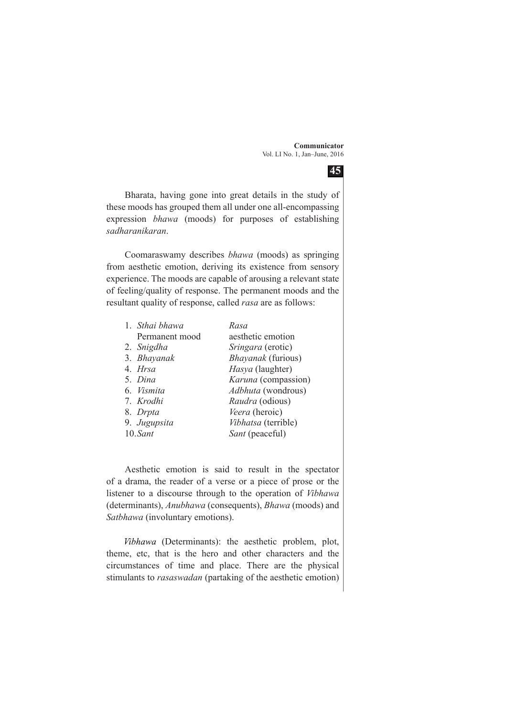

Bharata, having gone into great details in the study of these moods has grouped them all under one all-encompassing expression *bhawa* (moods) for purposes of establishing *sadharanikaran*.

Coomaraswamy describes *bhawa* (moods) as springing from aesthetic emotion, deriving its existence from sensory experience. The moods are capable of arousing a relevant state of feeling/quality of response. The permanent moods and the resultant quality of response, called *rasa* are as follows:

| 1. Sthai bhawa | Rasa                |
|----------------|---------------------|
| Permanent mood | aesthetic emotion   |
| 2. Snigdha     | Sringara (erotic)   |
| 3. Bhayanak    | Bhayanak (furious)  |
| 4. Hrsa        | Hasya (laughter)    |
| 5. Dina        | Karuna (compassion) |
| 6. Vismita     | Adbhuta (wondrous)  |
| 7. Krodhi      | Raudra (odious)     |
| 8. Drpta       | Veera (heroic)      |
| 9. Jugupsita   | Vibhatsa (terrible) |
| 10.Sant        | Sant (peaceful)     |

Aesthetic emotion is said to result in the spectator of a drama, the reader of a verse or a piece of prose or the listener to a discourse through to the operation of *Vibhawa* (determinants), *Anubhawa* (consequents), *Bhawa* (moods) and *Satbhawa* (involuntary emotions).

 (Determinants): the aesthetic problem, plot, theme, etc, that is the hero and other characters and the circumstances of time and place. There are the physical stimulants to *rasaswadan* (partaking of the aesthetic emotion)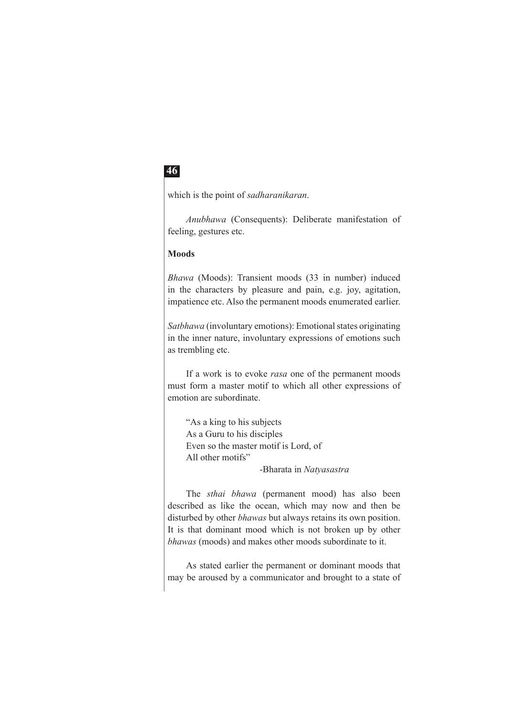which is the point of *sadharanikaran*.

*Anubhawa* (Consequents): Deliberate manifestation of feeling, gestures etc.

#### **Moods**

*Bhawa* (Moods): Transient moods (33 in number) induced in the characters by pleasure and pain, e.g. joy, agitation, impatience etc. Also the permanent moods enumerated earlier.

*Satbhawa* (involuntary emotions): Emotional states originating in the inner nature, involuntary expressions of emotions such as trembling etc.

If a work is to evoke *rasa* one of the permanent moods must form a master motif to which all other expressions of emotion are subordinate.

"As a king to his subjects As a Guru to his disciples Even so the master motif is Lord, of All other motifs" -Bharata in *Natyasastra*

The *sthai bhawa* (permanent mood) has also been described as like the ocean, which may now and then be disturbed by other *bhawas* but always retains its own position. It is that dominant mood which is not broken up by other *bhawas* (moods) and makes other moods subordinate to it.

As stated earlier the permanent or dominant moods that may be aroused by a communicator and brought to a state of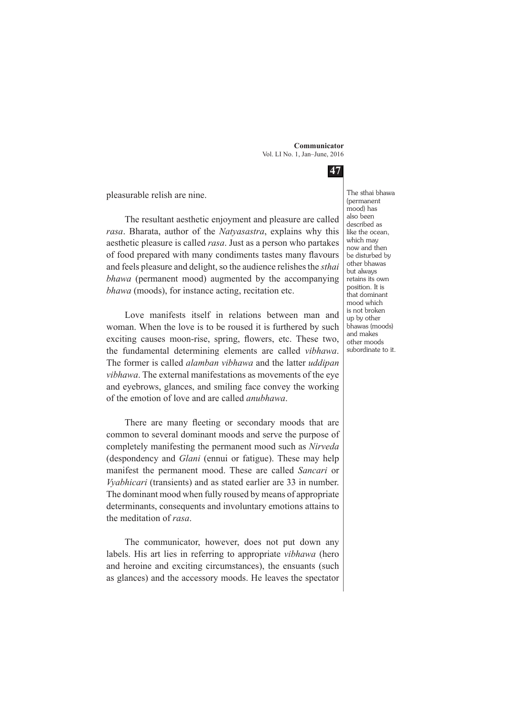**47**

pleasurable relish are nine.

The resultant aesthetic enjoyment and pleasure are called *rasa*. Bharata, author of the *Natyasastra*, explains why this aesthetic pleasure is called *rasa*. Just as a person who partakes of food prepared with many condiments tastes many flavours and feels pleasure and delight, so the audience relishes the *sthai bhawa* (permanent mood) augmented by the accompanying *bhawa* (moods), for instance acting, recitation etc.

Love manifests itself in relations between man and woman. When the love is to be roused it is furthered by such exciting causes moon-rise, spring, flowers, etc. These two, the fundamental determining elements are called *vibhawa*. The former is called *alamban vibhawa* and the latter *uddipan vibhawa*. The external manifestations as movements of the eye and eyebrows, glances, and smiling face convey the working of the emotion of love and are called *anubhawa*.

There are many fleeting or secondary moods that are common to several dominant moods and serve the purpose of completely manifesting the permanent mood such as *Nirveda* (despondency and *Glani* (ennui or fatigue). These may help manifest the permanent mood. These are called *Sancari* or *Vyabhicari* (transients) and as stated earlier are 33 in number. The dominant mood when fully roused by means of appropriate determinants, consequents and involuntary emotions attains to the meditation of *rasa*.

The communicator, however, does not put down any labels. His art lies in referring to appropriate *vibhawa* (hero and heroine and exciting circumstances), the ensuants (such as glances) and the accessory moods. He leaves the spectator The sthai bhawa (permanent mood) has also been described as like the ocean, which may now and then be disturbed by other bhawas but always retains its own position. It is that dominant mood which is not broken up by other bhawas (moods) and makes other moods subordinate to it.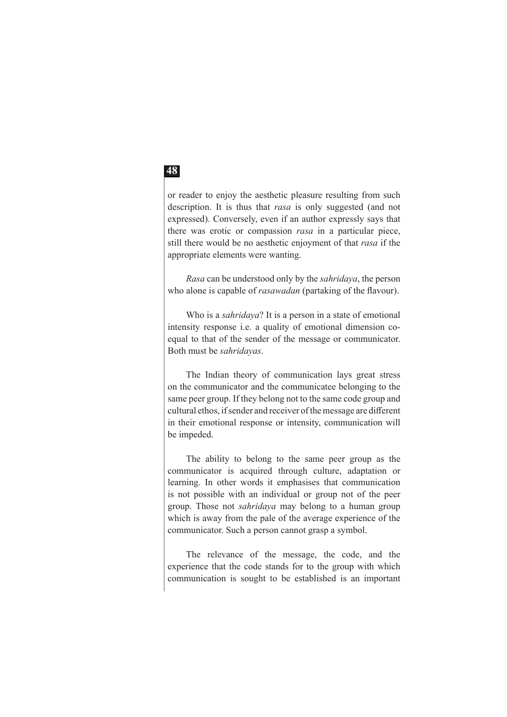or reader to enjoy the aesthetic pleasure resulting from such description. It is thus that *rasa* is only suggested (and not expressed). Conversely, even if an author expressly says that there was erotic or compassion *rasa* in a particular piece, still there would be no aesthetic enjoyment of that *rasa* if the appropriate elements were wanting.

*Rasa* can be understood only by the *sahridaya*, the person who alone is capable of *rasawadan* (partaking of the flavour).

Who is a *sahridaya*? It is a person in a state of emotional intensity response i.e. a quality of emotional dimension coequal to that of the sender of the message or communicator. Both must be *sahridayas*.

The Indian theory of communication lays great stress on the communicator and the communicatee belonging to the same peer group. If they belong not to the same code group and cultural ethos, if sender and receiver of the message are different in their emotional response or intensity, communication will be impeded.

The ability to belong to the same peer group as the communicator is acquired through culture, adaptation or learning. In other words it emphasises that communication is not possible with an individual or group not of the peer group. Those not *sahridaya* may belong to a human group which is away from the pale of the average experience of the communicator. Such a person cannot grasp a symbol.

The relevance of the message, the code, and the experience that the code stands for to the group with which communication is sought to be established is an important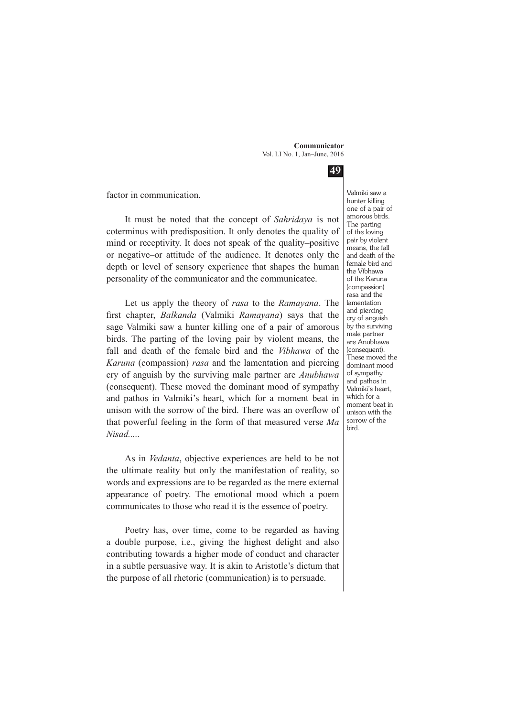**49**

factor in communication.

It must be noted that the concept of *Sahridaya* is not coterminus with predisposition. It only denotes the quality of mind or receptivity. It does not speak of the quality–positive or negative–or attitude of the audience. It denotes only the depth or level of sensory experience that shapes the human personality of the communicator and the communicatee.

Let us apply the theory of *rasa* to the *Ramayana*. The first chapter, *Balkanda* (Valmiki *Ramayana*) says that the sage Valmiki saw a hunter killing one of a pair of amorous birds. The parting of the loving pair by violent means, the fall and death of the female bird and the *Vibhawa* of the *Karuna* (compassion) *rasa* and the lamentation and piercing cry of anguish by the surviving male partner are *Anubhawa*  (consequent). These moved the dominant mood of sympathy and pathos in Valmiki's heart, which for a moment beat in unison with the sorrow of the bird. There was an overflow of that powerful feeling in the form of that measured verse *Ma Nisad.....*

As in *Vedanta*, objective experiences are held to be not the ultimate reality but only the manifestation of reality, so words and expressions are to be regarded as the mere external appearance of poetry. The emotional mood which a poem communicates to those who read it is the essence of poetry.

Poetry has, over time, come to be regarded as having a double purpose, i.e., giving the highest delight and also contributing towards a higher mode of conduct and character in a subtle persuasive way. It is akin to Aristotle's dictum that the purpose of all rhetoric (communication) is to persuade.

Valmiki saw a hunter killing one of a pair of amorous birds. The parting of the loving pair by violent means, the fall and death of the female bird and the Vibhawa of the Karuna (compassion) rasa and the lamentation and piercing cry of anguish by the surviving male partner are Anubhawa (consequent). These moved the dominant mood of sympathy and pathos in Valmiki's heart, which for a moment beat in unison with the sorrow of the bird.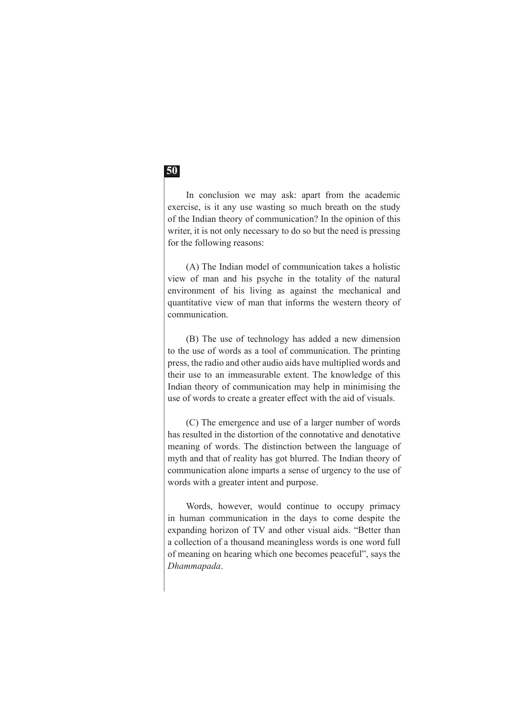In conclusion we may ask: apart from the academic exercise, is it any use wasting so much breath on the study of the Indian theory of communication? In the opinion of this writer, it is not only necessary to do so but the need is pressing for the following reasons:

(A) The Indian model of communication takes a holistic view of man and his psyche in the totality of the natural environment of his living as against the mechanical and quantitative view of man that informs the western theory of communication.

(B) The use of technology has added a new dimension to the use of words as a tool of communication. The printing press, the radio and other audio aids have multiplied words and their use to an immeasurable extent. The knowledge of this Indian theory of communication may help in minimising the use of words to create a greater effect with the aid of visuals.

(C) The emergence and use of a larger number of words has resulted in the distortion of the connotative and denotative meaning of words. The distinction between the language of myth and that of reality has got blurred. The Indian theory of communication alone imparts a sense of urgency to the use of words with a greater intent and purpose.

Words, however, would continue to occupy primacy in human communication in the days to come despite the expanding horizon of TV and other visual aids. "Better than a collection of a thousand meaningless words is one word full of meaning on hearing which one becomes peaceful", says the *Dhammapada*.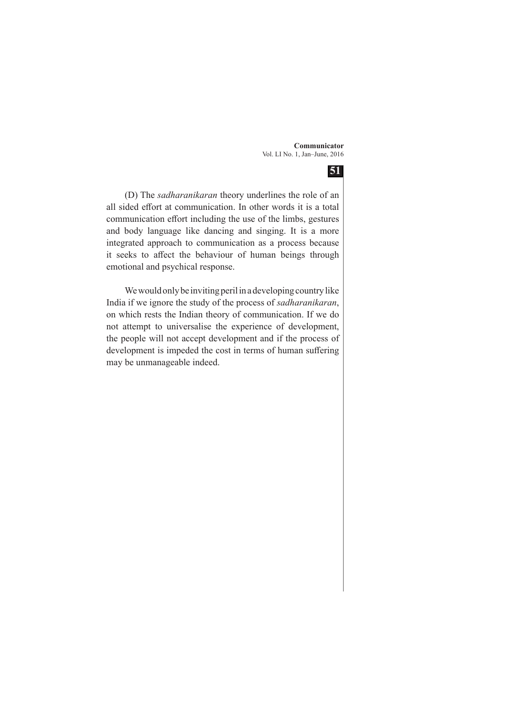

(D) The *sadharanikaran* theory underlines the role of an all sided effort at communication. In other words it is a total communication effort including the use of the limbs, gestures and body language like dancing and singing. It is a more integrated approach to communication as a process because it seeks to affect the behaviour of human beings through emotional and psychical response.

We would only be inviting peril in a developing country like India if we ignore the study of the process of *sadharanikaran*, on which rests the Indian theory of communication. If we do not attempt to universalise the experience of development, the people will not accept development and if the process of development is impeded the cost in terms of human suffering may be unmanageable indeed.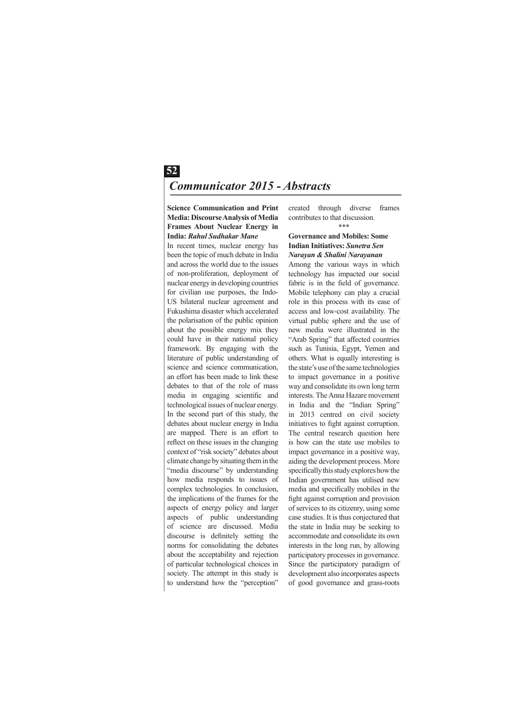### **52** *Communicator 2015 - Abstracts*

**Science Communication and Print Media: Discourse Analysis of Media Frames About Nuclear Energy in India:** *Rahul Sudhakar Mane*

In recent times, nuclear energy has been the topic of much debate in India and across the world due to the issues of non-proliferation, deployment of nuclear energy in developing countries for civilian use purposes, the Indo-US bilateral nuclear agreement and Fukushima disaster which accelerated the polarisation of the public opinion about the possible energy mix they could have in their national policy framework. By engaging with the literature of public understanding of science and science communication, an effort has been made to link these debates to that of the role of mass media in engaging scientific and technological issues of nuclear energy. In the second part of this study, the debates about nuclear energy in India are mapped. There is an effort to reflect on these issues in the changing context of "risk society" debates about climate change by situating them in the "media discourse" by understanding how media responds to issues of complex technologies. In conclusion, the implications of the frames for the aspects of energy policy and larger aspects of public understanding of science are discussed. Media discourse is definitely setting the norms for consolidating the debates about the acceptability and rejection of particular technological choices in society. The attempt in this study is to understand how the "perception"

created through diverse frames contributes to that discussion. \*\*\*

#### **Governance and Mobiles: Some Indian Initiatives:** *Sunetra Sen Narayan & Shalini Narayanan*

Among the various ways in which technology has impacted our social fabric is in the field of governance. Mobile telephony can play a crucial role in this process with its ease of access and low-cost availability. The virtual public sphere and the use of new media were illustrated in the "Arab Spring" that affected countries such as Tunisia, Egypt, Yemen and others. What is equally interesting is the state's use of the same technologies to impact governance in a positive way and consolidate its own long term interests. The Anna Hazare movement in India and the "Indian Spring" in 2013 centred on civil society initiatives to fight against corruption. The central research question here is how can the state use mobiles to impact governance in a positive way, aiding the development process. More specifically this study explores how the Indian government has utilised new media and specifically mobiles in the fight against corruption and provision of services to its citizenry, using some case studies. It is thus conjectured that the state in India may be seeking to accommodate and consolidate its own interests in the long run, by allowing participatory processes in governance. Since the participatory paradigm of development also incorporates aspects of good governance and grass-roots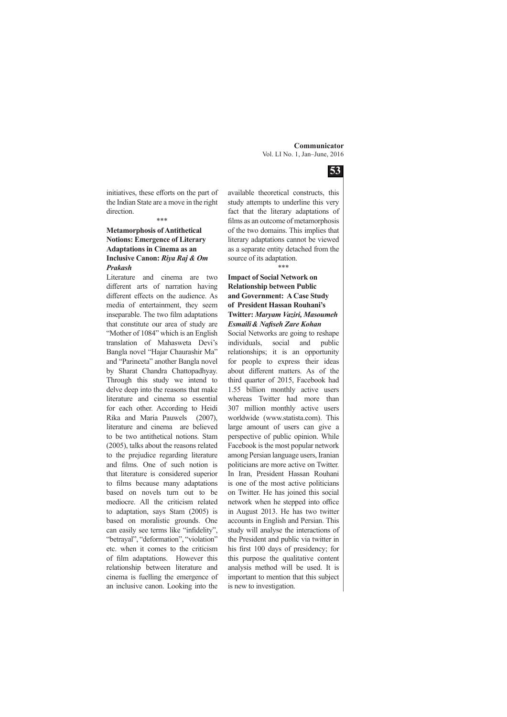

initiatives, these efforts on the part of the Indian State are a move in the right direction.

#### \*\*\* **Metamorphosis of Antithetical Notions: Emergence of Literary**

#### **Adaptations in Cinema as an Inclusive Canon:** *Riya Raj & Om Prakash*

Literature and cinema are two different arts of narration having different effects on the audience. As media of entertainment, they seem inseparable. The two film adaptations that constitute our area of study are "Mother of 1084" which is an English translation of Mahasweta Devi's Bangla novel "Hajar Chaurashir Ma" and "Parineeta" another Bangla novel by Sharat Chandra Chattopadhyay. Through this study we intend to delve deep into the reasons that make literature and cinema so essential for each other. According to Heidi Rika and Maria Pauwels (2007), literature and cinema are believed to be two antithetical notions. Stam (2005), talks about the reasons related to the prejudice regarding literature and films. One of such notion is that literature is considered superior to films because many adaptations based on novels turn out to be mediocre. All the criticism related to adaptation, says Stam (2005) is based on moralistic grounds. One can easily see terms like "infidelity", "betrayal", "deformation", "violation" etc. when it comes to the criticism of film adaptations. However this relationship between literature and cinema is fuelling the emergence of an inclusive canon. Looking into the

available theoretical constructs, this study attempts to underline this very fact that the literary adaptations of films as an outcome of metamorphosis of the two domains. This implies that literary adaptations cannot be viewed as a separate entity detached from the source of its adaptation. \*\*\*

#### **Impact of Social Network on Relationship between Public and Government: A Case Study of President Hassan Rouhani's Twitter:** *Maryam Vaziri, Masoumeh Esmaili& Nafiseh Zare Kohan*

Social Networks are going to reshape individuals, social and public relationships; it is an opportunity for people to express their ideas about different matters. As of the third quarter of 2015, Facebook had 1.55 billion monthly active users whereas Twitter had more than 307 million monthly active users worldwide (www.statista.com). This large amount of users can give a perspective of public opinion. While Facebook is the most popular network among Persian language users, Iranian politicians are more active on Twitter. In Iran, President Hassan Rouhani is one of the most active politicians on Twitter. He has joined this social network when he stepped into office in August 2013. He has two twitter accounts in English and Persian. This study will analyse the interactions of the President and public via twitter in his first 100 days of presidency; for this purpose the qualitative content analysis method will be used. It is important to mention that this subject is new to investigation.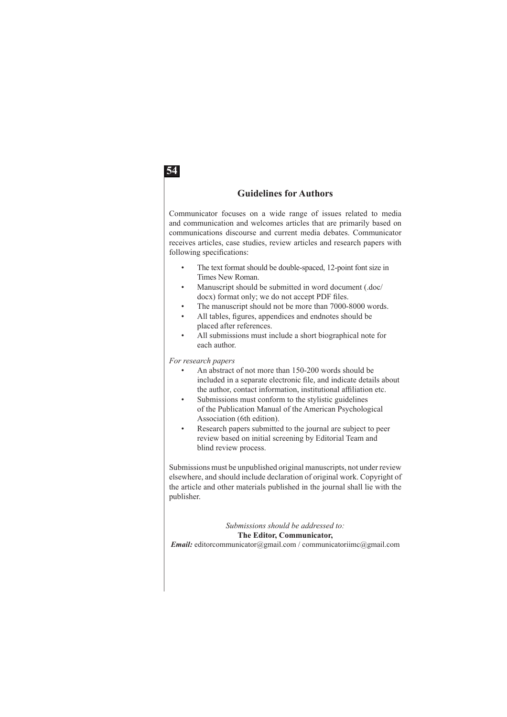#### **Guidelines for Authors**

Communicator focuses on a wide range of issues related to media and communication and welcomes articles that are primarily based on communications discourse and current media debates. Communicator receives articles, case studies, review articles and research papers with following specifications:

- The text format should be double-spaced, 12-point font size in Times New Roman.
- Manuscript should be submitted in word document (.doc/ docx) format only; we do not accept PDF files.
- The manuscript should not be more than 7000-8000 words.
- All tables, figures, appendices and endnotes should be placed after references.
- All submissions must include a short biographical note for each author.

*For research papers*

- An abstract of not more than 150-200 words should be included in a separate electronic file, and indicate details about the author, contact information, institutional affiliation etc.
- Submissions must conform to the stylistic guidelines of the Publication Manual of the American Psychological Association (6th edition).
- Research papers submitted to the journal are subject to peer review based on initial screening by Editorial Team and blind review process.

Submissions must be unpublished original manuscripts, not under review elsewhere, and should include declaration of original work. Copyright of the article and other materials published in the journal shall lie with the publisher.

#### *Submissions should be addressed to:*  **The Editor, Communicator,**

*Email:* editorcommunicator@gmail.com / communicatoriimc@gmail.com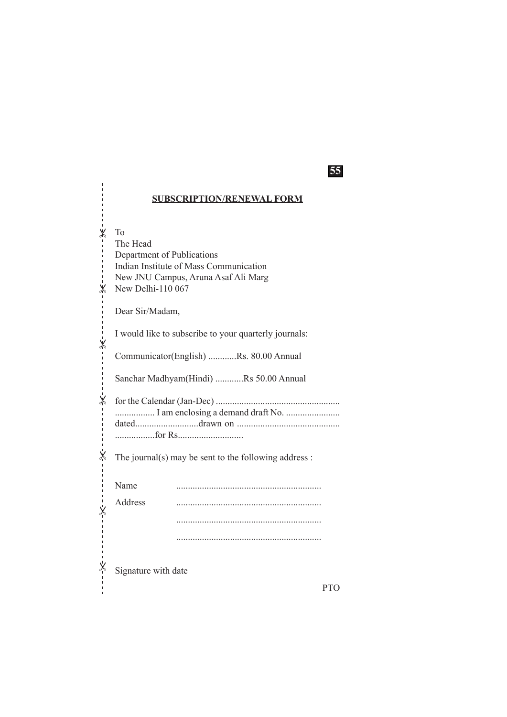#### **SUBSCRIPTION/RENEWAL FORM**

**55**

 $\mathsf{X}$ 

To The Head Department of Publications Indian Institute of Mass Communication New JNU Campus, Aruna Asaf Ali Marg  $\%$  New Delhi-110 067 Dear Sir/Madam, I would like to subscribe to your quarterly journals: Communicator(English) ............Rs. 80.00 Annual Sanchar Madhyam(Hindi) ............Rs 50.00 Annual for the Calendar (Jan-Dec) ..................................................... ..................... I am enclosing a demand draft No. ......................... dated...........................drawn on ............................................ .................for Rs............................ The journal(s) may be sent to the following address : Name .............................................................. Address .............................................................. .............................................................. .............................................................. Signature with date PTO  $\pmb{\times}$  $\dot{\mathsf{x}}$  $\overline{\mathsf{x}}$  $\mathsf{\dot{x}}$  $\mathsf{\dot{x}}$